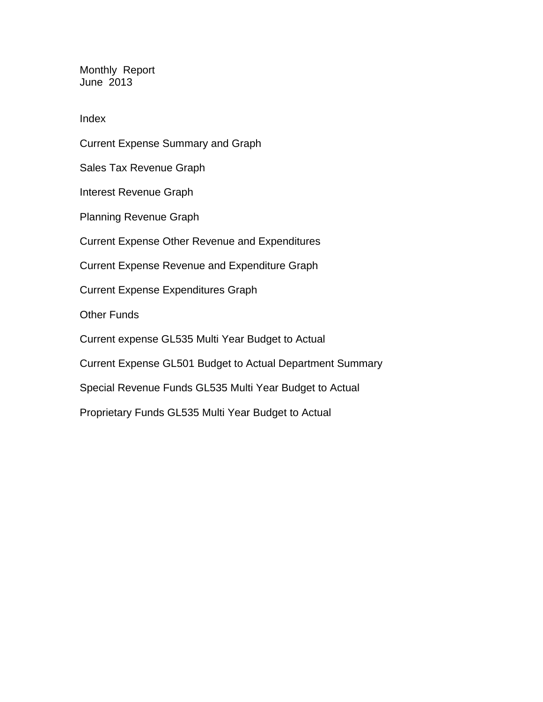Monthly Report June 2013

Index

Current Expense Summary and Graph Sales Tax Revenue Graph Interest Revenue Graph Planning Revenue Graph Current Expense Other Revenue and Expenditures Current Expense Revenue and Expenditure Graph Current Expense Expenditures Graph Other Funds Current expense GL535 Multi Year Budget to Actual Current Expense GL501 Budget to Actual Department Summary Special Revenue Funds GL535 Multi Year Budget to Actual Proprietary Funds GL535 Multi Year Budget to Actual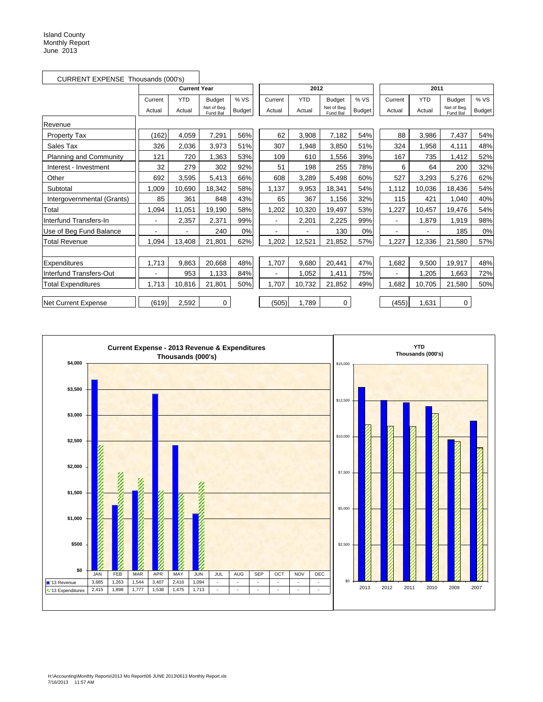| CURRENT EXPENSE Thousands (000's) |         |                     |                         |               |                |            |                         |               |                          |            |                         |               |
|-----------------------------------|---------|---------------------|-------------------------|---------------|----------------|------------|-------------------------|---------------|--------------------------|------------|-------------------------|---------------|
|                                   |         | <b>Current Year</b> |                         |               |                | 2012       |                         |               |                          | 2011       |                         |               |
|                                   | Current | <b>YTD</b>          | <b>Budget</b>           | % VS          | Current        | <b>YTD</b> | <b>Budget</b>           | % VS          | Current                  | <b>YTD</b> | <b>Budget</b>           | % VS          |
|                                   | Actual  | Actual              | Net of Beg.<br>Fund Bal | <b>Budget</b> | Actual         | Actual     | Net of Beg.<br>Fund Bal | <b>Budget</b> | Actual                   | Actual     | Net of Beg.<br>Fund Bal | <b>Budget</b> |
| Revenue                           |         |                     |                         |               |                |            |                         |               |                          |            |                         |               |
| Property Tax                      | (162)   | 4,059               | 7,291                   | 56%           | 62             | 3,908      | 7,182                   | 54%           | 88                       | 3,986      | 7,437                   | 54%           |
| Sales Tax                         | 326     | 2,036               | 3,973                   | 51%           | 307            | 1,948      | 3,850                   | 51%           | 324                      | 1,958      | 4,111                   | 48%           |
| Planning and Community            | 121     | 720                 | 1,363                   | 53%           | 109            | 610        | 1,556                   | 39%           | 167                      | 735        | 1,412                   | 52%           |
| Interest - Investment             | 32      | 279                 | 302                     | 92%           | 51             | 198        | 255                     | 78%           | 6                        | 64         | 200                     | 32%           |
| Other                             | 692     | 3,595               | 5,413                   | 66%           | 608            | 3,289      | 5,498                   | 60%           | 527                      | 3,293      | 5,276                   | 62%           |
| Subtotal                          | 1,009   | 10,690              | 18,342                  | 58%           | 1,137          | 9,953      | 18,341                  | 54%           | 1,112                    | 10,036     | 18,436                  | 54%           |
| Intergovernmental (Grants)        | 85      | 361                 | 848                     | 43%           | 65             | 367        | 1,156                   | 32%           | 115                      | 421        | 1,040                   | 40%           |
| Total                             | 1,094   | 11,051              | 19,190                  | 58%           | 1,202          | 10,320     | 19,497                  | 53%           | 1,227                    | 10,457     | 19,476                  | 54%           |
| Interfund Transfers-In            |         | 2,357               | 2,371                   | 99%           | $\blacksquare$ | 2,201      | 2,225                   | 99%           | $\overline{\phantom{a}}$ | 1,879      | 1,919                   | 98%           |
| Use of Beg Fund Balance           |         |                     | 240                     | 0%            |                |            | 130                     | 0%            | $\overline{\phantom{a}}$ |            | 185                     | 0%            |
| <b>Total Revenue</b>              | 1,094   | 13,408              | 21,801                  | 62%           | 1,202          | 12,521     | 21,852                  | 57%           | 1,227                    | 12,336     | 21,580                  | 57%           |
|                                   |         |                     |                         |               |                |            |                         |               |                          |            |                         |               |
| Expenditures                      | 1,713   | 9,863               | 20,668                  | 48%           | 1,707          | 9,680      | 20,441                  | 47%           | 1,682                    | 9,500      | 19,917                  | 48%           |
| Interfund Transfers-Out           |         | 953                 | 1,133                   | 84%           |                | 1,052      | 1,411                   | 75%           |                          | 1,205      | 1,663                   | 72%           |
| <b>Total Expenditures</b>         | 1,713   | 10,816              | 21,801                  | 50%           | 1,707          | 10,732     | 21,852                  | 49%           | 1.682                    | 10,705     | 21,580                  | 50%           |
| Net Current Expense               | (619)   | 2,592               | 0                       |               | (505)          | 1,789      | 0                       |               | (455)                    | 1,631      | 0                       |               |

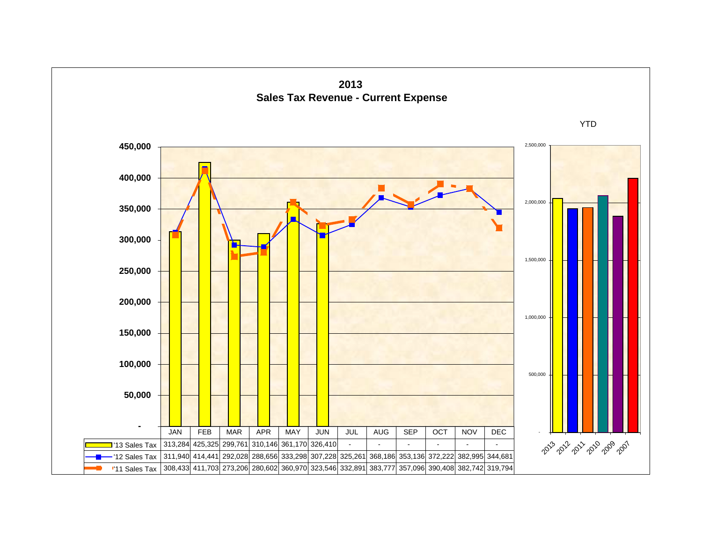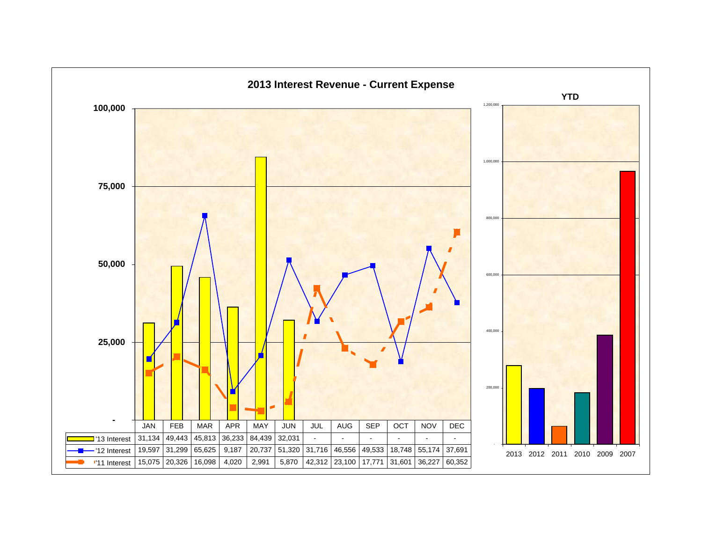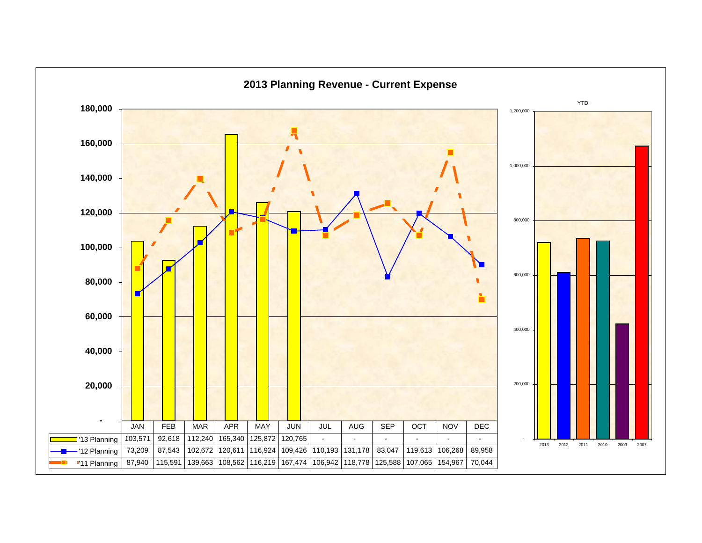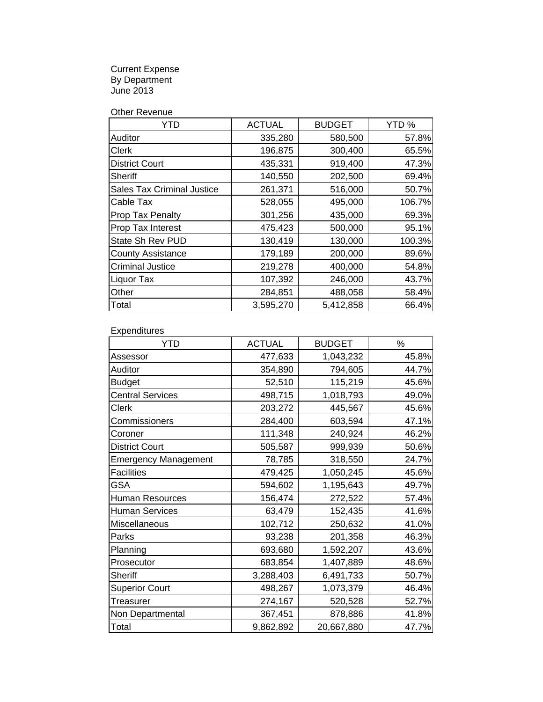Current Expense By Department June 2013

Other Revenue

| YTD                               | <b>ACTUAL</b> | <b>BUDGET</b> | YTD %  |
|-----------------------------------|---------------|---------------|--------|
| Auditor                           | 335,280       | 580,500       | 57.8%  |
| <b>Clerk</b>                      | 196,875       | 300,400       | 65.5%  |
| <b>District Court</b>             | 435,331       | 919,400       | 47.3%  |
| <b>Sheriff</b>                    | 140,550       | 202,500       | 69.4%  |
| <b>Sales Tax Criminal Justice</b> | 261,371       | 516,000       | 50.7%  |
| Cable Tax                         | 528,055       | 495,000       | 106.7% |
| Prop Tax Penalty                  | 301,256       | 435,000       | 69.3%  |
| Prop Tax Interest                 | 475,423       | 500,000       | 95.1%  |
| State Sh Rev PUD                  | 130,419       | 130,000       | 100.3% |
| <b>County Assistance</b>          | 179,189       | 200,000       | 89.6%  |
| <b>Criminal Justice</b>           | 219,278       | 400,000       | 54.8%  |
| Liquor Tax                        | 107,392       | 246,000       | 43.7%  |
| Other                             | 284,851       | 488,058       | 58.4%  |
| Total                             | 3,595,270     | 5,412,858     | 66.4%  |

**Expenditures** 

| <b>YTD</b>                  | <b>ACTUAL</b> | <b>BUDGET</b> | %     |
|-----------------------------|---------------|---------------|-------|
| Assessor                    | 477,633       | 1,043,232     | 45.8% |
| Auditor                     | 354,890       | 794,605       | 44.7% |
| <b>Budget</b>               | 52,510        | 115,219       | 45.6% |
| <b>Central Services</b>     | 498,715       | 1,018,793     | 49.0% |
| Clerk                       | 203,272       | 445,567       | 45.6% |
| Commissioners               | 284,400       | 603,594       | 47.1% |
| Coroner                     | 111,348       | 240,924       | 46.2% |
| <b>District Court</b>       | 505,587       | 999,939       | 50.6% |
| <b>Emergency Management</b> | 78,785        | 318,550       | 24.7% |
| <b>Facilities</b>           | 479,425       | 1,050,245     | 45.6% |
| <b>GSA</b>                  | 594,602       | 1,195,643     | 49.7% |
| Human Resources             | 156,474       | 272,522       | 57.4% |
| <b>Human Services</b>       | 63,479        | 152,435       | 41.6% |
| Miscellaneous               | 102,712       | 250,632       | 41.0% |
| Parks                       | 93,238        | 201,358       | 46.3% |
| Planning                    | 693,680       | 1,592,207     | 43.6% |
| Prosecutor                  | 683,854       | 1,407,889     | 48.6% |
| <b>Sheriff</b>              | 3,288,403     | 6,491,733     | 50.7% |
| <b>Superior Court</b>       | 498,267       | 1,073,379     | 46.4% |
| Treasurer                   | 274,167       | 520,528       | 52.7% |
| Non Departmental            | 367,451       | 878,886       | 41.8% |
| Total                       | 9,862,892     | 20,667,880    | 47.7% |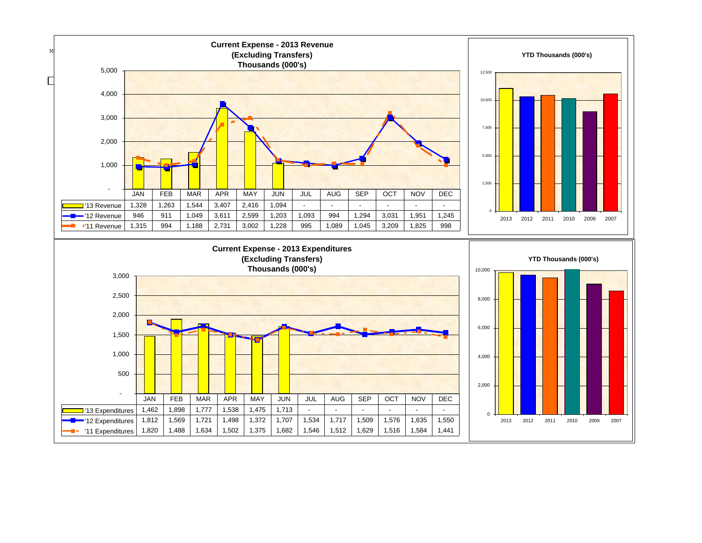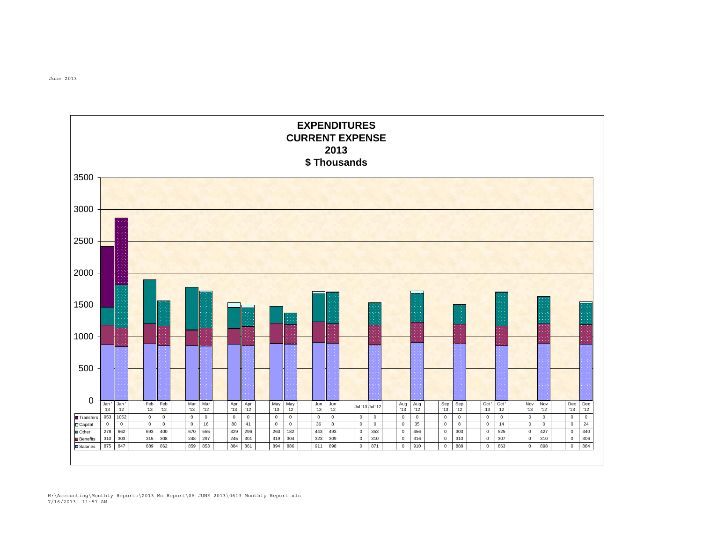

June 2013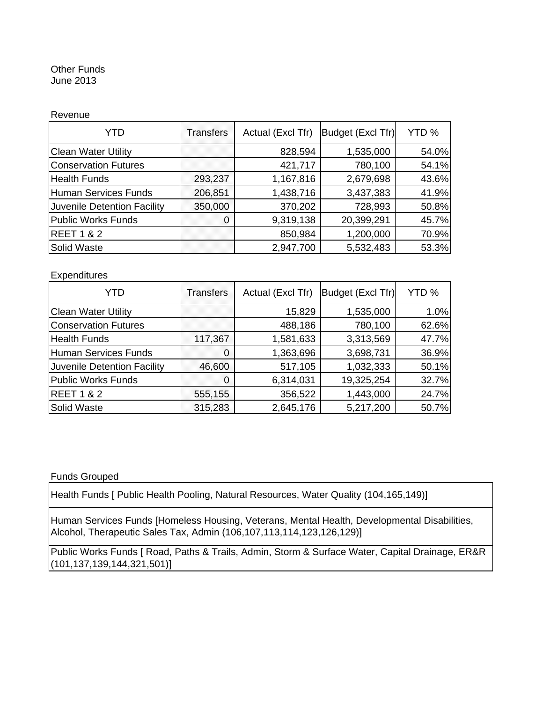#### Other Funds June 2013

#### Revenue

| YTD                         | Transfers | Actual (Excl Tfr) | Budget (Excl Tfr) | YTD % |
|-----------------------------|-----------|-------------------|-------------------|-------|
| <b>Clean Water Utility</b>  |           | 828,594           | 1,535,000         | 54.0% |
| <b>Conservation Futures</b> |           | 421,717           | 780,100           | 54.1% |
| <b>Health Funds</b>         | 293,237   | 1,167,816         | 2,679,698         | 43.6% |
| <b>Human Services Funds</b> | 206,851   | 1,438,716         | 3,437,383         | 41.9% |
| Juvenile Detention Facility | 350,000   | 370,202           | 728,993           | 50.8% |
| <b>Public Works Funds</b>   |           | 9,319,138         | 20,399,291        | 45.7% |
| <b>REET 1 &amp; 2</b>       |           | 850,984           | 1,200,000         | 70.9% |
| Solid Waste                 |           | 2,947,700         | 5,532,483         | 53.3% |

#### **Expenditures**

| YTD                         | Transfers | Actual (Excl Tfr) | Budget (Excl Tfr) | YTD % |
|-----------------------------|-----------|-------------------|-------------------|-------|
| <b>Clean Water Utility</b>  |           | 15,829            | 1,535,000         | 1.0%  |
| <b>Conservation Futures</b> |           | 488,186           | 780,100           | 62.6% |
| <b>Health Funds</b>         | 117,367   | 1,581,633         | 3,313,569         | 47.7% |
| <b>Human Services Funds</b> |           | 1,363,696         | 3,698,731         | 36.9% |
| Juvenile Detention Facility | 46,600    | 517,105           | 1,032,333         | 50.1% |
| <b>Public Works Funds</b>   |           | 6,314,031         | 19,325,254        | 32.7% |
| <b>REET 1 &amp; 2</b>       | 555,155   | 356,522           | 1,443,000         | 24.7% |
| Solid Waste                 | 315,283   | 2,645,176         | 5,217,200         | 50.7% |

#### Funds Grouped

Health Funds [ Public Health Pooling, Natural Resources, Water Quality (104,165,149)]

Human Services Funds [Homeless Housing, Veterans, Mental Health, Developmental Disabilities, Alcohol, Therapeutic Sales Tax, Admin (106,107,113,114,123,126,129)]

Public Works Funds [ Road, Paths & Trails, Admin, Storm & Surface Water, Capital Drainage, ER&R (101,137,139,144,321,501)]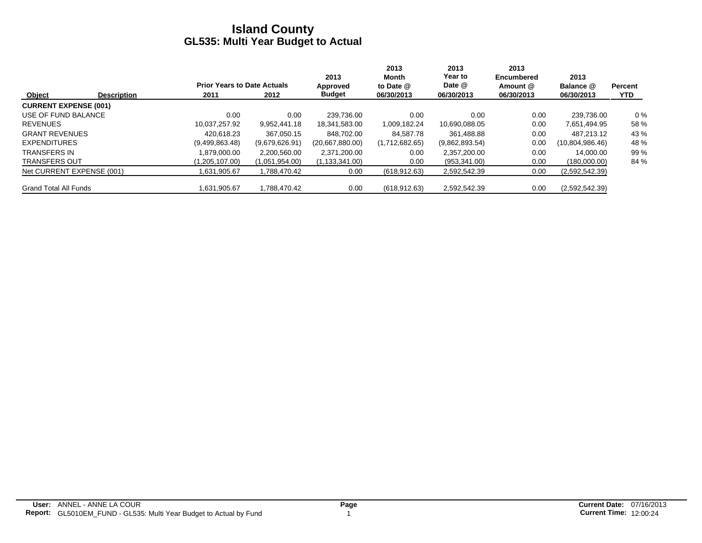|                              |                    |                                    |                | 2013             | 2013<br>Month  | 2013<br>Year to | 2013<br>Encumbered | 2013            |                |
|------------------------------|--------------------|------------------------------------|----------------|------------------|----------------|-----------------|--------------------|-----------------|----------------|
|                              |                    | <b>Prior Years to Date Actuals</b> |                | Approved         | to Date @      | Date @          | Amount @           | Balance @       | <b>Percent</b> |
| Object                       | <b>Description</b> | 2011                               | 2012           | <b>Budget</b>    | 06/30/2013     | 06/30/2013      | 06/30/2013         | 06/30/2013      | <b>YTD</b>     |
| <b>CURRENT EXPENSE (001)</b> |                    |                                    |                |                  |                |                 |                    |                 |                |
| USE OF FUND BALANCE          |                    | 0.00                               | 0.00           | 239.736.00       | 0.00           | 0.00            | 0.00               | 239,736.00      | $0\%$          |
| <b>REVENUES</b>              |                    | 10.037.257.92                      | 9.952.441.18   | 18.341.583.00    | 1,009,182.24   | 10,690,088.05   | 0.00               | 7,651,494.95    | 58 %           |
| <b>GRANT REVENUES</b>        |                    | 420.618.23                         | 367.050.15     | 848.702.00       | 84.587.78      | 361.488.88      | 0.00               | 487.213.12      | 43 %           |
| <b>EXPENDITURES</b>          |                    | (9,499,863.48)                     | (9,679,626.91) | (20,667,880.00)  | (1,712,682.65) | (9,862,893.54)  | 0.00               | (10,804,986.46) | 48 %           |
| <b>TRANSFERS IN</b>          |                    | 1.879.000.00                       | 2,200,560.00   | 2,371,200.00     | 0.00           | 2,357,200.00    | 0.00               | 14.000.00       | 99 %           |
| <b>TRANSFERS OUT</b>         |                    | (1,205,107.00)                     | (1,051,954.00) | (1, 133, 341.00) | 0.00           | (953, 341.00)   | 0.00               | (180,000.00)    | 84 %           |
| Net CURRENT EXPENSE (001)    |                    | .631,905.67                        | 1,788,470.42   | 0.00             | (618, 912.63)  | 2,592,542.39    | 0.00               | (2,592,542.39)  |                |
| <b>Grand Total All Funds</b> |                    | 1,631,905.67                       | 1,788,470.42   | 0.00             | (618, 912.63)  | 2,592,542.39    | 0.00               | (2,592,542.39)  |                |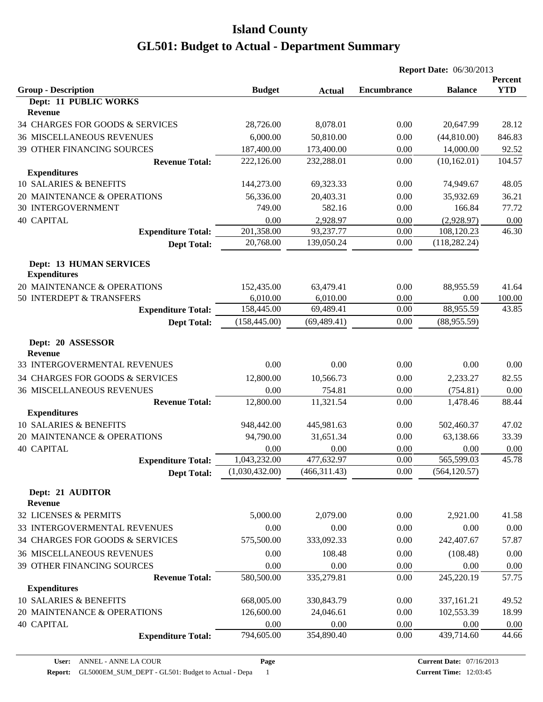|                                                       |                |               |                    | <b>Report Date: 06/30/2013</b> |            |
|-------------------------------------------------------|----------------|---------------|--------------------|--------------------------------|------------|
|                                                       |                |               |                    |                                | Percent    |
| <b>Group - Description</b><br>Dept: 11 PUBLIC WORKS   | <b>Budget</b>  | <b>Actual</b> | <b>Encumbrance</b> | <b>Balance</b>                 | <b>YTD</b> |
| <b>Revenue</b>                                        |                |               |                    |                                |            |
| 34 CHARGES FOR GOODS & SERVICES                       | 28,726.00      | 8,078.01      | 0.00               | 20,647.99                      | 28.12      |
| <b>36 MISCELLANEOUS REVENUES</b>                      | 6,000.00       | 50,810.00     | 0.00               | (44,810.00)                    | 846.83     |
| 39 OTHER FINANCING SOURCES                            | 187,400.00     | 173,400.00    | 0.00               | 14,000.00                      | 92.52      |
| <b>Revenue Total:</b>                                 | 222,126.00     | 232,288.01    | 0.00               | (10, 162.01)                   | 104.57     |
| <b>Expenditures</b>                                   |                |               |                    |                                |            |
| 10 SALARIES & BENEFITS                                | 144,273.00     | 69,323.33     | 0.00               | 74,949.67                      | 48.05      |
| 20 MAINTENANCE & OPERATIONS                           | 56,336.00      | 20,403.31     | 0.00               | 35,932.69                      | 36.21      |
| <b>30 INTERGOVERNMENT</b>                             | 749.00         | 582.16        | 0.00               | 166.84                         | 77.72      |
| <b>40 CAPITAL</b>                                     | 0.00           | 2,928.97      | 0.00               | (2,928.97)                     | 0.00       |
| <b>Expenditure Total:</b>                             | 201,358.00     | 93,237.77     | 0.00               | 108,120.23                     | 46.30      |
| <b>Dept Total:</b>                                    | 20,768.00      | 139,050.24    | 0.00               | (118, 282.24)                  |            |
| <b>Dept: 13 HUMAN SERVICES</b><br><b>Expenditures</b> |                |               |                    |                                |            |
| 20 MAINTENANCE & OPERATIONS                           | 152,435.00     | 63,479.41     | 0.00               | 88,955.59                      | 41.64      |
| 50 INTERDEPT & TRANSFERS                              | 6,010.00       | 6,010.00      | 0.00               | 0.00                           | 100.00     |
| <b>Expenditure Total:</b>                             | 158,445.00     | 69,489.41     | 0.00               | 88,955.59                      | 43.85      |
| <b>Dept Total:</b>                                    | (158, 445.00)  | (69, 489.41)  | 0.00               | (88,955.59)                    |            |
| Dept: 20 ASSESSOR<br><b>Revenue</b>                   |                |               |                    |                                |            |
| 33 INTERGOVERMENTAL REVENUES                          | 0.00           | 0.00          | 0.00               | 0.00                           | 0.00       |
| 34 CHARGES FOR GOODS & SERVICES                       | 12,800.00      | 10,566.73     | 0.00               | 2,233.27                       | 82.55      |
| <b>36 MISCELLANEOUS REVENUES</b>                      | 0.00           | 754.81        | 0.00               | (754.81)                       | 0.00       |
| <b>Revenue Total:</b>                                 | 12,800.00      | 11,321.54     | 0.00               | 1,478.46                       | 88.44      |
| <b>Expenditures</b>                                   |                |               |                    |                                |            |
| 10 SALARIES & BENEFITS                                | 948,442.00     | 445,981.63    | 0.00               | 502,460.37                     | 47.02      |
| 20 MAINTENANCE & OPERATIONS                           | 94,790.00      | 31,651.34     | 0.00               | 63,138.66                      | 33.39      |
| <b>40 CAPITAL</b>                                     | 0.00           | 0.00          | 0.00               | 0.00                           | 0.00       |
| <b>Expenditure Total:</b>                             | 1,043,232.00   | 477,632.97    | 0.00               | 565,599.03                     | 45.78      |
| <b>Dept Total:</b>                                    | (1,030,432.00) | (466, 311.43) | 0.00               | (564, 120.57)                  |            |
| Dept: 21 AUDITOR<br>Revenue                           |                |               |                    |                                |            |
| 32 LICENSES & PERMITS                                 | 5,000.00       | 2,079.00      | 0.00               | 2,921.00                       | 41.58      |
| 33 INTERGOVERMENTAL REVENUES                          | 0.00           | 0.00          | 0.00               | 0.00                           | 0.00       |
| 34 CHARGES FOR GOODS & SERVICES                       | 575,500.00     | 333,092.33    | 0.00               | 242,407.67                     | 57.87      |
| <b>36 MISCELLANEOUS REVENUES</b>                      | 0.00           | 108.48        | 0.00               | (108.48)                       | 0.00       |
| 39 OTHER FINANCING SOURCES                            | 0.00           | 0.00          | 0.00               | 0.00                           | 0.00       |
| <b>Revenue Total:</b>                                 | 580,500.00     | 335,279.81    | 0.00               | 245,220.19                     | 57.75      |
| <b>Expenditures</b>                                   |                |               |                    |                                |            |
| 10 SALARIES & BENEFITS                                | 668,005.00     | 330,843.79    | 0.00               | 337,161.21                     | 49.52      |
| 20 MAINTENANCE & OPERATIONS                           | 126,600.00     | 24,046.61     | 0.00               | 102,553.39                     | 18.99      |
| <b>40 CAPITAL</b>                                     | 0.00           | 0.00          | 0.00               | 0.00                           | 0.00       |
| <b>Expenditure Total:</b>                             | 794,605.00     | 354,890.40    | 0.00               | 439,714.60                     | 44.66      |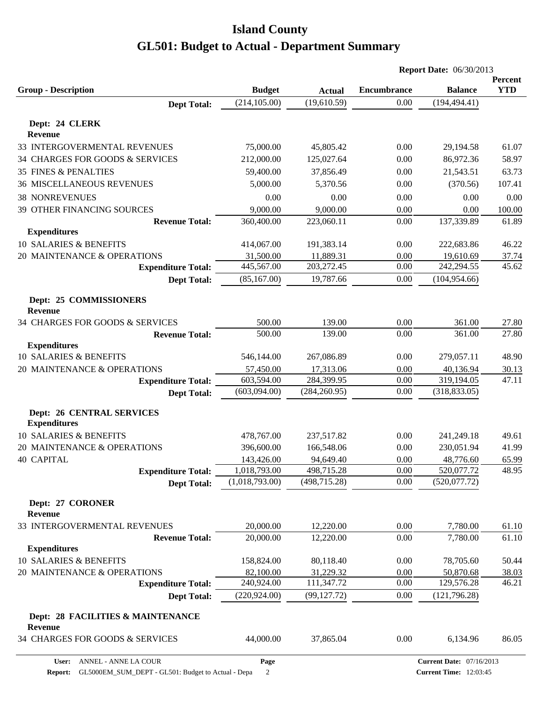|                                                         |                |               |                    | <b>Report Date: 06/30/2013</b> |                       |
|---------------------------------------------------------|----------------|---------------|--------------------|--------------------------------|-----------------------|
| <b>Group - Description</b>                              | <b>Budget</b>  | <b>Actual</b> | <b>Encumbrance</b> | <b>Balance</b>                 | Percent<br><b>YTD</b> |
| <b>Dept Total:</b>                                      | (214, 105.00)  | (19,610.59)   | 0.00               | (194, 494.41)                  |                       |
|                                                         |                |               |                    |                                |                       |
| Dept: 24 CLERK<br>Revenue                               |                |               |                    |                                |                       |
| 33 INTERGOVERMENTAL REVENUES                            | 75,000.00      | 45,805.42     | 0.00               | 29,194.58                      | 61.07                 |
| 34 CHARGES FOR GOODS & SERVICES                         | 212,000.00     | 125,027.64    | 0.00               | 86,972.36                      | 58.97                 |
| <b>35 FINES &amp; PENALTIES</b>                         | 59,400.00      | 37,856.49     | 0.00               | 21,543.51                      | 63.73                 |
| <b>36 MISCELLANEOUS REVENUES</b>                        | 5,000.00       | 5,370.56      | 0.00               | (370.56)                       | 107.41                |
| <b>38 NONREVENUES</b>                                   | 0.00           | 0.00          | 0.00               | 0.00                           | 0.00                  |
| 39 OTHER FINANCING SOURCES                              | 9,000.00       | 9,000.00      | 0.00               | 0.00                           | 100.00                |
| <b>Revenue Total:</b>                                   | 360,400.00     | 223,060.11    | 0.00               | 137,339.89                     | 61.89                 |
| <b>Expenditures</b>                                     |                |               |                    |                                |                       |
| 10 SALARIES & BENEFITS                                  | 414,067.00     | 191,383.14    | 0.00               | 222,683.86                     | 46.22                 |
| 20 MAINTENANCE & OPERATIONS                             | 31,500.00      | 11,889.31     | 0.00               | 19,610.69                      | 37.74                 |
| <b>Expenditure Total:</b>                               | 445,567.00     | 203,272.45    | 0.00               | 242,294.55                     | 45.62                 |
| <b>Dept Total:</b>                                      | (85, 167.00)   | 19,787.66     | 0.00               | (104, 954.66)                  |                       |
|                                                         |                |               |                    |                                |                       |
| Dept: 25 COMMISSIONERS<br><b>Revenue</b>                |                |               |                    |                                |                       |
| 34 CHARGES FOR GOODS & SERVICES                         | 500.00         | 139.00        | 0.00               | 361.00                         | 27.80                 |
| <b>Revenue Total:</b>                                   | 500.00         | 139.00        | 0.00               | 361.00                         | 27.80                 |
| <b>Expenditures</b>                                     |                |               |                    |                                |                       |
| 10 SALARIES & BENEFITS                                  | 546,144.00     | 267,086.89    | 0.00               | 279,057.11                     | 48.90                 |
| 20 MAINTENANCE & OPERATIONS                             | 57,450.00      | 17,313.06     | 0.00               | 40,136.94                      | 30.13                 |
| <b>Expenditure Total:</b>                               | 603,594.00     | 284,399.95    | 0.00               | 319,194.05                     | 47.11                 |
| <b>Dept Total:</b>                                      | (603,094.00)   | (284, 260.95) | 0.00               | (318, 833.05)                  |                       |
| <b>Dept: 26 CENTRAL SERVICES</b><br><b>Expenditures</b> |                |               |                    |                                |                       |
| 10 SALARIES & BENEFITS                                  | 478,767.00     | 237,517.82    | 0.00               | 241,249.18                     | 49.61                 |
| 20 MAINTENANCE & OPERATIONS                             | 396,600.00     | 166,548.06    | 0.00               | 230,051.94                     | 41.99                 |
| <b>40 CAPITAL</b>                                       | 143,426.00     | 94,649.40     | 0.00               | 48,776.60                      | 65.99                 |
| <b>Expenditure Total:</b>                               | 1,018,793.00   | 498,715.28    | 0.00               | 520,077.72                     | 48.95                 |
| <b>Dept Total:</b>                                      | (1,018,793.00) | (498, 715.28) | 0.00               | (520, 077.72)                  |                       |
|                                                         |                |               |                    |                                |                       |
| Dept: 27 CORONER<br>Revenue                             |                |               |                    |                                |                       |
| 33 INTERGOVERMENTAL REVENUES                            | 20,000.00      | 12,220.00     | 0.00               | 7,780.00                       | 61.10                 |
| <b>Revenue Total:</b>                                   | 20,000.00      | 12,220.00     | 0.00               | 7,780.00                       | 61.10                 |
| <b>Expenditures</b>                                     |                |               |                    |                                |                       |
| 10 SALARIES & BENEFITS                                  | 158,824.00     | 80,118.40     | 0.00               | 78,705.60                      | 50.44                 |
| 20 MAINTENANCE & OPERATIONS                             | 82,100.00      | 31,229.32     | 0.00               | 50,870.68                      | 38.03                 |
| <b>Expenditure Total:</b>                               | 240,924.00     | 111,347.72    | 0.00               | 129,576.28                     | 46.21                 |
| <b>Dept Total:</b>                                      | (220, 924.00)  | (99, 127.72)  | 0.00               | (121, 796.28)                  |                       |
| Dept: 28 FACILITIES & MAINTENANCE<br>Revenue            |                |               |                    |                                |                       |
| 34 CHARGES FOR GOODS & SERVICES                         | 44,000.00      | 37,865.04     | 0.00               | 6,134.96                       | 86.05                 |
|                                                         |                |               |                    |                                |                       |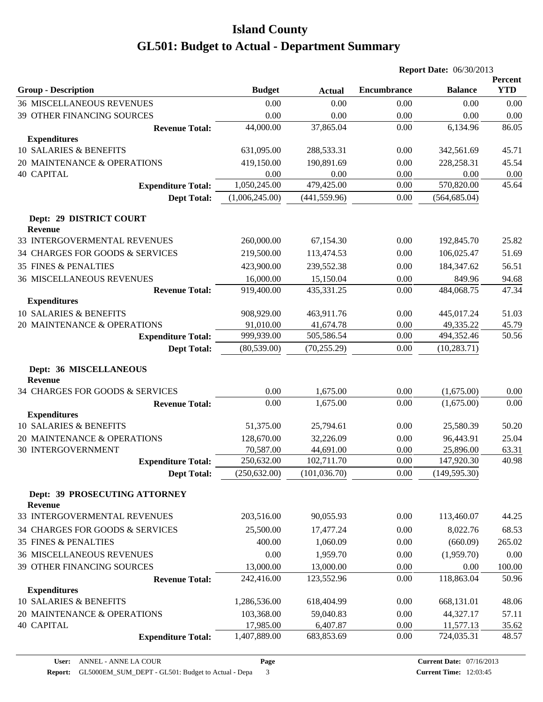|                                                 |                |               |                    | <b>Report Date: 06/30/2013</b> |                       |
|-------------------------------------------------|----------------|---------------|--------------------|--------------------------------|-----------------------|
| <b>Group - Description</b>                      | <b>Budget</b>  | <b>Actual</b> | <b>Encumbrance</b> | <b>Balance</b>                 | Percent<br><b>YTD</b> |
| <b>36 MISCELLANEOUS REVENUES</b>                | 0.00           | 0.00          | 0.00               | 0.00                           | 0.00                  |
| 39 OTHER FINANCING SOURCES                      | 0.00           | 0.00          | 0.00               | 0.00                           | 0.00                  |
| <b>Revenue Total:</b>                           | 44,000.00      | 37,865.04     | 0.00               | 6,134.96                       | 86.05                 |
| <b>Expenditures</b>                             |                |               |                    |                                |                       |
| 10 SALARIES & BENEFITS                          | 631,095.00     | 288,533.31    | 0.00               | 342,561.69                     | 45.71                 |
| 20 MAINTENANCE & OPERATIONS                     | 419,150.00     | 190,891.69    | 0.00               | 228,258.31                     | 45.54                 |
| <b>40 CAPITAL</b>                               | 0.00           | 0.00          | 0.00               | 0.00                           | 0.00                  |
| <b>Expenditure Total:</b>                       | 1,050,245.00   | 479,425.00    | 0.00               | 570,820.00                     | 45.64                 |
| <b>Dept Total:</b>                              | (1,006,245.00) | (441, 559.96) | 0.00               | (564, 685.04)                  |                       |
| Dept: 29 DISTRICT COURT<br>Revenue              |                |               |                    |                                |                       |
| 33 INTERGOVERMENTAL REVENUES                    | 260,000.00     | 67,154.30     | 0.00               | 192,845.70                     | 25.82                 |
| 34 CHARGES FOR GOODS & SERVICES                 | 219,500.00     | 113,474.53    | 0.00               | 106,025.47                     | 51.69                 |
| <b>35 FINES &amp; PENALTIES</b>                 | 423,900.00     | 239,552.38    | 0.00               | 184,347.62                     | 56.51                 |
| <b>36 MISCELLANEOUS REVENUES</b>                | 16,000.00      | 15,150.04     | 0.00               | 849.96                         | 94.68                 |
| <b>Revenue Total:</b>                           | 919,400.00     | 435,331.25    | 0.00               | 484,068.75                     | 47.34                 |
| <b>Expenditures</b>                             |                |               |                    |                                |                       |
| <b>10 SALARIES &amp; BENEFITS</b>               | 908,929.00     | 463,911.76    | 0.00               | 445,017.24                     | 51.03                 |
| 20 MAINTENANCE & OPERATIONS                     | 91,010.00      | 41,674.78     | 0.00               | 49,335.22                      | 45.79                 |
| <b>Expenditure Total:</b>                       | 999,939.00     | 505,586.54    | 0.00               | 494,352.46                     | 50.56                 |
| <b>Dept Total:</b>                              | (80, 539.00)   | (70, 255.29)  | 0.00               | (10, 283.71)                   |                       |
| Dept: 36 MISCELLANEOUS<br><b>Revenue</b>        |                |               |                    |                                |                       |
| 34 CHARGES FOR GOODS & SERVICES                 | 0.00           | 1,675.00      | 0.00               | (1,675.00)                     | 0.00                  |
| <b>Revenue Total:</b>                           | 0.00           | 1,675.00      | 0.00               | (1,675.00)                     | 0.00                  |
| <b>Expenditures</b>                             |                |               |                    |                                |                       |
| 10 SALARIES & BENEFITS                          | 51,375.00      | 25,794.61     | 0.00               | 25,580.39                      | 50.20                 |
| 20 MAINTENANCE & OPERATIONS                     | 128,670.00     | 32,226.09     | 0.00               | 96,443.91                      | 25.04                 |
| <b>30 INTERGOVERNMENT</b>                       | 70,587.00      | 44,691.00     | 0.00               | 25,896.00                      | 63.31                 |
| <b>Expenditure Total:</b>                       | 250,632.00     | 102,711.70    | 0.00               | 147,920.30                     | 40.98                 |
| <b>Dept Total:</b>                              | (250, 632.00)  | (101, 036.70) | 0.00               | (149, 595.30)                  |                       |
| Dept: 39 PROSECUTING ATTORNEY<br><b>Revenue</b> |                |               |                    |                                |                       |
| 33 INTERGOVERMENTAL REVENUES                    | 203,516.00     | 90,055.93     | 0.00               | 113,460.07                     | 44.25                 |
| 34 CHARGES FOR GOODS & SERVICES                 | 25,500.00      | 17,477.24     | 0.00               | 8,022.76                       | 68.53                 |
| 35 FINES & PENALTIES                            | 400.00         | 1,060.09      | 0.00               | (660.09)                       | 265.02                |
| <b>36 MISCELLANEOUS REVENUES</b>                | 0.00           | 1,959.70      | 0.00               | (1,959.70)                     | 0.00                  |
| 39 OTHER FINANCING SOURCES                      | 13,000.00      | 13,000.00     | 0.00               | 0.00                           | 100.00                |
| <b>Revenue Total:</b>                           | 242,416.00     | 123,552.96    | 0.00               | 118,863.04                     | 50.96                 |
| <b>Expenditures</b>                             |                |               |                    |                                |                       |
| 10 SALARIES & BENEFITS                          | 1,286,536.00   | 618,404.99    | 0.00               | 668,131.01                     | 48.06                 |
| 20 MAINTENANCE & OPERATIONS                     | 103,368.00     | 59,040.83     | 0.00               | 44,327.17                      | 57.11                 |
| <b>40 CAPITAL</b>                               | 17,985.00      | 6,407.87      | 0.00               | 11,577.13                      | 35.62                 |
| <b>Expenditure Total:</b>                       | 1,407,889.00   | 683,853.69    | 0.00               | 724,035.31                     | 48.57                 |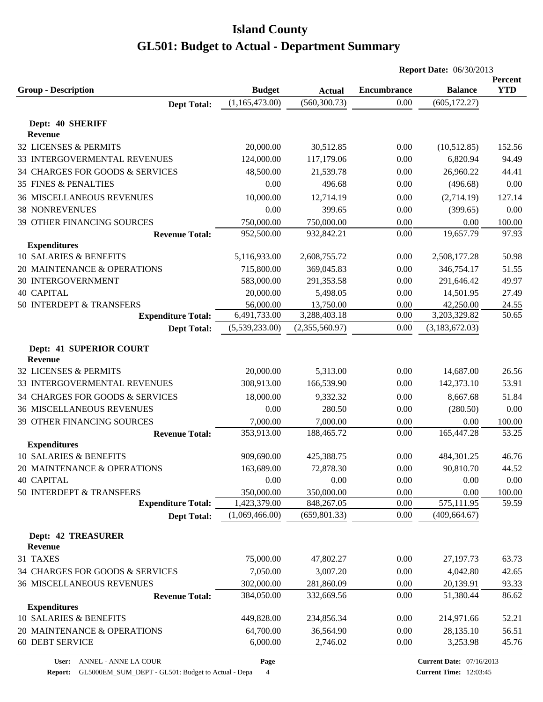|                                                  |                       |                       |                    | <b>Report Date: 06/30/2013</b> |                |
|--------------------------------------------------|-----------------------|-----------------------|--------------------|--------------------------------|----------------|
|                                                  |                       |                       |                    |                                | Percent        |
| <b>Group - Description</b>                       | <b>Budget</b>         | <b>Actual</b>         | <b>Encumbrance</b> | <b>Balance</b>                 | <b>YTD</b>     |
| <b>Dept Total:</b>                               | (1,165,473.00)        | (560, 300.73)         | 0.00               | (605, 172.27)                  |                |
| Dept: 40 SHERIFF                                 |                       |                       |                    |                                |                |
| <b>Revenue</b>                                   |                       |                       |                    |                                |                |
| 32 LICENSES & PERMITS                            | 20,000.00             | 30,512.85             | 0.00               | (10,512.85)                    | 152.56         |
| 33 INTERGOVERMENTAL REVENUES                     | 124,000.00            | 117,179.06            | 0.00               | 6,820.94                       | 94.49          |
| 34 CHARGES FOR GOODS & SERVICES                  | 48,500.00             | 21,539.78             | 0.00               | 26,960.22                      | 44.41          |
| <b>35 FINES &amp; PENALTIES</b>                  | 0.00                  | 496.68                | 0.00               | (496.68)                       | 0.00           |
| <b>36 MISCELLANEOUS REVENUES</b>                 | 10,000.00             | 12,714.19             | 0.00               | (2,714.19)                     | 127.14         |
| <b>38 NONREVENUES</b>                            | 0.00                  | 399.65                | 0.00               | (399.65)                       | 0.00           |
| 39 OTHER FINANCING SOURCES                       | 750,000.00            | 750,000.00            | 0.00               | 0.00                           | 100.00         |
| <b>Revenue Total:</b>                            | 952,500.00            | 932,842.21            | 0.00               | 19,657.79                      | 97.93          |
| <b>Expenditures</b>                              |                       |                       |                    |                                |                |
| 10 SALARIES & BENEFITS                           | 5,116,933.00          | 2,608,755.72          | 0.00               | 2,508,177.28                   | 50.98          |
| 20 MAINTENANCE & OPERATIONS                      | 715,800.00            | 369,045.83            | 0.00               | 346,754.17                     | 51.55          |
| 30 INTERGOVERNMENT                               | 583,000.00            | 291,353.58            | 0.00               | 291,646.42                     | 49.97          |
| <b>40 CAPITAL</b>                                | 20,000.00             | 5,498.05              | 0.00               | 14,501.95                      | 27.49          |
| 50 INTERDEPT & TRANSFERS                         | 56,000.00             | 13,750.00             | 0.00               | 42,250.00                      | 24.55          |
| <b>Expenditure Total:</b>                        | 6,491,733.00          | 3,288,403.18          | 0.00               | 3,203,329.82                   | 50.65          |
| <b>Dept Total:</b>                               | (5,539,233.00)        | (2,355,560.97)        | 0.00               | (3,183,672.03)                 |                |
|                                                  |                       |                       |                    |                                |                |
| <b>Dept: 41 SUPERIOR COURT</b><br><b>Revenue</b> |                       |                       |                    |                                |                |
| 32 LICENSES & PERMITS                            | 20,000.00             | 5,313.00              | 0.00               | 14,687.00                      | 26.56          |
| 33 INTERGOVERMENTAL REVENUES                     | 308,913.00            | 166,539.90            | 0.00               | 142,373.10                     | 53.91          |
| 34 CHARGES FOR GOODS & SERVICES                  | 18,000.00             | 9,332.32              | 0.00               | 8,667.68                       | 51.84          |
| <b>36 MISCELLANEOUS REVENUES</b>                 | 0.00                  | 280.50                | 0.00               | (280.50)                       | 0.00           |
| 39 OTHER FINANCING SOURCES                       | 7,000.00              | 7,000.00              | 0.00               | 0.00                           | 100.00         |
| <b>Revenue Total:</b>                            | 353,913.00            | 188,465.72            | 0.00               | 165,447.28                     | 53.25          |
| <b>Expenditures</b>                              |                       |                       |                    |                                |                |
| 10 SALARIES & BENEFITS                           | 909,690.00            | 425,388.75            | 0.00               | 484,301.25                     | 46.76          |
| 20 MAINTENANCE & OPERATIONS                      | 163,689.00            | 72,878.30             | 0.00               | 90,810.70                      | 44.52          |
| <b>40 CAPITAL</b>                                | 0.00                  | 0.00                  | 0.00               | 0.00                           | 0.00           |
| 50 INTERDEPT & TRANSFERS                         | 350,000.00            | 350,000.00            | 0.00               | 0.00                           | 100.00         |
| <b>Expenditure Total:</b>                        | 1,423,379.00          | 848,267.05            | 0.00               | 575,111.95                     | 59.59          |
| <b>Dept Total:</b>                               | (1,069,466.00)        | (659, 801.33)         | 0.00               | (409, 664.67)                  |                |
|                                                  |                       |                       |                    |                                |                |
| <b>Dept: 42 TREASURER</b>                        |                       |                       |                    |                                |                |
| Revenue                                          |                       |                       |                    |                                |                |
| 31 TAXES                                         | 75,000.00             | 47,802.27             | 0.00               | 27,197.73                      | 63.73          |
| 34 CHARGES FOR GOODS & SERVICES                  | 7,050.00              | 3,007.20              | 0.00               | 4,042.80                       | 42.65          |
| <b>36 MISCELLANEOUS REVENUES</b>                 | 302,000.00            | 281,860.09            | 0.00               | 20,139.91                      | 93.33          |
| <b>Revenue Total:</b>                            | 384,050.00            | 332,669.56            | 0.00               | 51,380.44                      | 86.62          |
| <b>Expenditures</b><br>10 SALARIES & BENEFITS    | 449,828.00            | 234,856.34            | 0.00               | 214,971.66                     | 52.21          |
| 20 MAINTENANCE & OPERATIONS                      |                       |                       | 0.00               |                                |                |
| <b>60 DEBT SERVICE</b>                           | 64,700.00<br>6,000.00 | 36,564.90<br>2,746.02 | 0.00               | 28,135.10<br>3,253.98          | 56.51<br>45.76 |
|                                                  |                       |                       |                    |                                |                |

**Page**

**Report:** GL5000EM\_SUM\_DEPT - GL501: Budget to Actual - Depa 4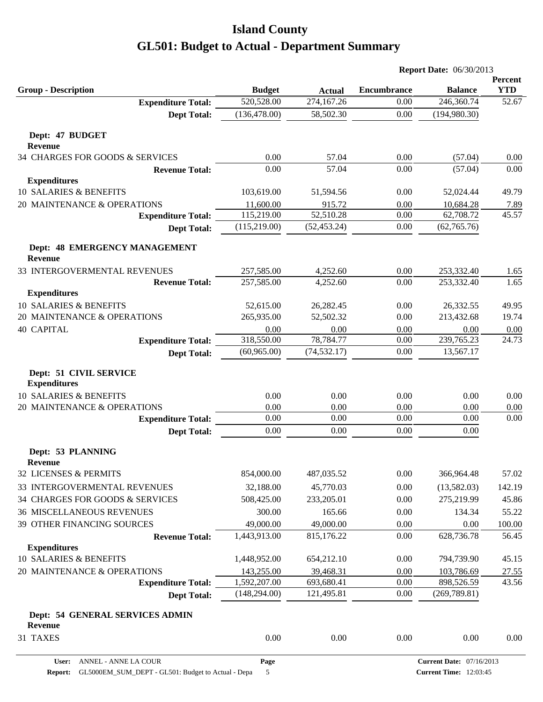|                                                                 |                             |                             |                    | <b>Report Date: 06/30/2013</b> |                       |
|-----------------------------------------------------------------|-----------------------------|-----------------------------|--------------------|--------------------------------|-----------------------|
| <b>Group - Description</b>                                      |                             |                             | <b>Encumbrance</b> |                                | Percent<br><b>YTD</b> |
| <b>Expenditure Total:</b>                                       | <b>Budget</b><br>520,528.00 | <b>Actual</b><br>274,167.26 | 0.00               | <b>Balance</b><br>246,360.74   | 52.67                 |
| <b>Dept Total:</b>                                              | (136, 478.00)               | 58,502.30                   | 0.00               | (194, 980.30)                  |                       |
|                                                                 |                             |                             |                    |                                |                       |
| Dept: 47 BUDGET                                                 |                             |                             |                    |                                |                       |
| <b>Revenue</b>                                                  |                             |                             |                    |                                |                       |
| 34 CHARGES FOR GOODS & SERVICES                                 | 0.00                        | 57.04                       | 0.00               | (57.04)                        | 0.00                  |
| <b>Revenue Total:</b>                                           | 0.00                        | 57.04                       | 0.00               | (57.04)                        | 0.00                  |
| <b>Expenditures</b>                                             |                             |                             |                    |                                |                       |
| 10 SALARIES & BENEFITS                                          | 103,619.00                  | 51,594.56                   | 0.00               | 52,024.44                      | 49.79                 |
| 20 MAINTENANCE & OPERATIONS                                     | 11,600.00                   | 915.72                      | 0.00               | 10,684.28                      | 7.89                  |
| <b>Expenditure Total:</b>                                       | 115,219.00                  | 52,510.28                   | 0.00               | 62,708.72                      | 45.57                 |
| <b>Dept Total:</b>                                              | (115, 219.00)               | (52, 453.24)                | 0.00               | (62,765.76)                    |                       |
| <b>Dept: 48 EMERGENCY MANAGEMENT</b><br><b>Revenue</b>          |                             |                             |                    |                                |                       |
| 33 INTERGOVERMENTAL REVENUES                                    | 257,585.00                  | 4,252.60                    | 0.00               | 253,332.40                     | 1.65                  |
| <b>Revenue Total:</b>                                           | 257,585.00                  | 4,252.60                    | 0.00               | 253,332.40                     | 1.65                  |
| <b>Expenditures</b>                                             |                             |                             |                    |                                |                       |
| 10 SALARIES & BENEFITS                                          | 52,615.00                   | 26,282.45                   | 0.00               | 26,332.55                      | 49.95                 |
| 20 MAINTENANCE & OPERATIONS                                     | 265,935.00                  | 52,502.32                   | 0.00               | 213,432.68                     | 19.74                 |
| <b>40 CAPITAL</b>                                               | 0.00                        | 0.00                        | 0.00               | 0.00                           | 0.00                  |
| <b>Expenditure Total:</b>                                       | 318,550.00                  | 78,784.77                   | 0.00               | 239,765.23                     | 24.73                 |
| <b>Dept Total:</b>                                              | (60, 965.00)                | (74, 532.17)                | 0.00               | 13,567.17                      |                       |
| Dept: 51 CIVIL SERVICE<br><b>Expenditures</b>                   |                             |                             |                    |                                |                       |
| 10 SALARIES & BENEFITS                                          | 0.00                        | 0.00                        | 0.00               | 0.00                           | 0.00                  |
| 20 MAINTENANCE & OPERATIONS                                     | 0.00                        | 0.00                        | 0.00               | 0.00                           | 0.00                  |
| <b>Expenditure Total:</b>                                       | 0.00                        | 0.00                        | 0.00               | 0.00                           | 0.00                  |
| <b>Dept Total:</b>                                              | 0.00                        | 0.00                        | 0.00               | 0.00                           |                       |
| Dept: 53 PLANNING                                               |                             |                             |                    |                                |                       |
| Revenue<br>32 LICENSES & PERMITS                                | 854,000.00                  | 487,035.52                  | 0.00               | 366,964.48                     | 57.02                 |
|                                                                 |                             |                             |                    |                                |                       |
| 33 INTERGOVERMENTAL REVENUES<br>34 CHARGES FOR GOODS & SERVICES | 32,188.00                   | 45,770.03                   | 0.00<br>0.00       | (13,582.03)                    | 142.19                |
| <b>36 MISCELLANEOUS REVENUES</b>                                | 508,425.00<br>300.00        | 233,205.01<br>165.66        |                    | 275,219.99<br>134.34           | 45.86                 |
|                                                                 |                             |                             | 0.00               |                                | 55.22<br>100.00       |
| 39 OTHER FINANCING SOURCES<br><b>Revenue Total:</b>             | 49,000.00<br>1,443,913.00   | 49,000.00<br>815,176.22     | 0.00<br>0.00       | 0.00<br>628,736.78             | 56.45                 |
| <b>Expenditures</b>                                             |                             |                             |                    |                                |                       |
| 10 SALARIES & BENEFITS                                          | 1,448,952.00                | 654,212.10                  | 0.00               | 794,739.90                     | 45.15                 |
| 20 MAINTENANCE & OPERATIONS                                     | 143,255.00                  | 39,468.31                   | 0.00               | 103,786.69                     | 27.55                 |
| <b>Expenditure Total:</b>                                       | 1,592,207.00                | 693,680.41                  | 0.00               | 898,526.59                     | 43.56                 |
| <b>Dept Total:</b>                                              | (148, 294.00)               | 121,495.81                  | 0.00               | (269, 789.81)                  |                       |
| Dept: 54 GENERAL SERVICES ADMIN<br><b>Revenue</b>               |                             |                             |                    |                                |                       |
| 31 TAXES                                                        | 0.00                        | $0.00\,$                    | 0.00               | 0.00                           | 0.00                  |
|                                                                 |                             |                             |                    |                                |                       |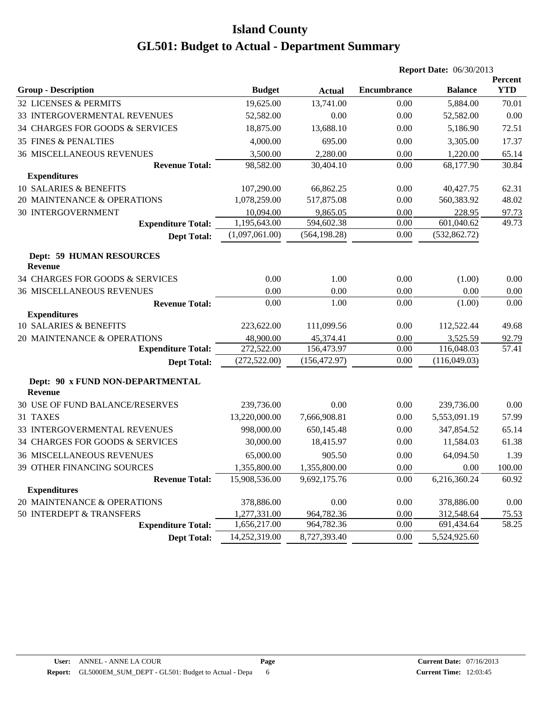|                                                    |                |               |                    | <b>Report Date: 06/30/2013</b> |                       |
|----------------------------------------------------|----------------|---------------|--------------------|--------------------------------|-----------------------|
| <b>Group - Description</b>                         | <b>Budget</b>  | <b>Actual</b> | <b>Encumbrance</b> | <b>Balance</b>                 | Percent<br><b>YTD</b> |
| 32 LICENSES & PERMITS                              | 19,625.00      | 13,741.00     | 0.00               | 5,884.00                       | 70.01                 |
| 33 INTERGOVERMENTAL REVENUES                       | 52,582.00      | 0.00          | 0.00               | 52,582.00                      | 0.00                  |
| 34 CHARGES FOR GOODS & SERVICES                    | 18,875.00      | 13,688.10     | 0.00               | 5,186.90                       | 72.51                 |
| 35 FINES & PENALTIES                               | 4,000.00       | 695.00        | 0.00               | 3,305.00                       | 17.37                 |
| <b>36 MISCELLANEOUS REVENUES</b>                   | 3,500.00       | 2,280.00      | 0.00               | 1,220.00                       | 65.14                 |
| <b>Revenue Total:</b>                              | 98,582.00      | 30,404.10     | 0.00               | 68,177.90                      | 30.84                 |
| <b>Expenditures</b>                                |                |               |                    |                                |                       |
| 10 SALARIES & BENEFITS                             | 107,290.00     | 66,862.25     | 0.00               | 40,427.75                      | 62.31                 |
| 20 MAINTENANCE & OPERATIONS                        | 1,078,259.00   | 517,875.08    | 0.00               | 560,383.92                     | 48.02                 |
| <b>30 INTERGOVERNMENT</b>                          | 10,094.00      | 9,865.05      | 0.00               | 228.95                         | 97.73                 |
| <b>Expenditure Total:</b>                          | 1,195,643.00   | 594,602.38    | 0.00               | 601,040.62                     | 49.73                 |
| <b>Dept Total:</b>                                 | (1,097,061.00) | (564, 198.28) | 0.00               | (532, 862.72)                  |                       |
| <b>Dept: 59 HUMAN RESOURCES</b><br>Revenue         |                |               |                    |                                |                       |
| 34 CHARGES FOR GOODS & SERVICES                    | 0.00           | 1.00          | 0.00               | (1.00)                         | 0.00                  |
| <b>36 MISCELLANEOUS REVENUES</b>                   | 0.00           | 0.00          | 0.00               | 0.00                           | 0.00                  |
| <b>Revenue Total:</b>                              | 0.00           | 1.00          | 0.00               | (1.00)                         | 0.00                  |
| <b>Expenditures</b>                                |                |               |                    |                                |                       |
| 10 SALARIES & BENEFITS                             | 223,622.00     | 111,099.56    | 0.00               | 112,522.44                     | 49.68                 |
| 20 MAINTENANCE & OPERATIONS                        | 48,900.00      | 45,374.41     | 0.00               | 3,525.59                       | 92.79                 |
| <b>Expenditure Total:</b>                          | 272,522.00     | 156,473.97    | 0.00               | 116,048.03                     | 57.41                 |
| <b>Dept Total:</b>                                 | (272, 522.00)  | (156, 472.97) | 0.00               | (116,049.03)                   |                       |
| Dept: 90 x FUND NON-DEPARTMENTAL<br><b>Revenue</b> |                |               |                    |                                |                       |
| 30 USE OF FUND BALANCE/RESERVES                    | 239,736.00     | 0.00          | 0.00               | 239,736.00                     | 0.00                  |
| 31 TAXES                                           | 13,220,000.00  | 7,666,908.81  | 0.00               | 5,553,091.19                   | 57.99                 |
| 33 INTERGOVERMENTAL REVENUES                       | 998,000.00     | 650,145.48    | 0.00               | 347,854.52                     | 65.14                 |
| 34 CHARGES FOR GOODS & SERVICES                    | 30,000.00      | 18,415.97     | 0.00               | 11,584.03                      | 61.38                 |
| <b>36 MISCELLANEOUS REVENUES</b>                   | 65,000.00      | 905.50        | 0.00               | 64,094.50                      | 1.39                  |
| 39 OTHER FINANCING SOURCES                         | 1,355,800.00   | 1,355,800.00  | 0.00               | 0.00                           | 100.00                |
| <b>Revenue Total:</b>                              | 15,908,536.00  | 9,692,175.76  | 0.00               | 6,216,360.24                   | 60.92                 |
| <b>Expenditures</b>                                |                |               |                    |                                |                       |
| 20 MAINTENANCE & OPERATIONS                        | 378,886.00     | 0.00          | 0.00               | 378,886.00                     | 0.00                  |
| 50 INTERDEPT & TRANSFERS                           | 1,277,331.00   | 964,782.36    | 0.00               | 312,548.64                     | 75.53                 |
| <b>Expenditure Total:</b>                          | 1,656,217.00   | 964,782.36    | 0.00               | 691,434.64                     | 58.25                 |
| <b>Dept Total:</b>                                 | 14,252,319.00  | 8,727,393.40  | 0.00               | 5,524,925.60                   |                       |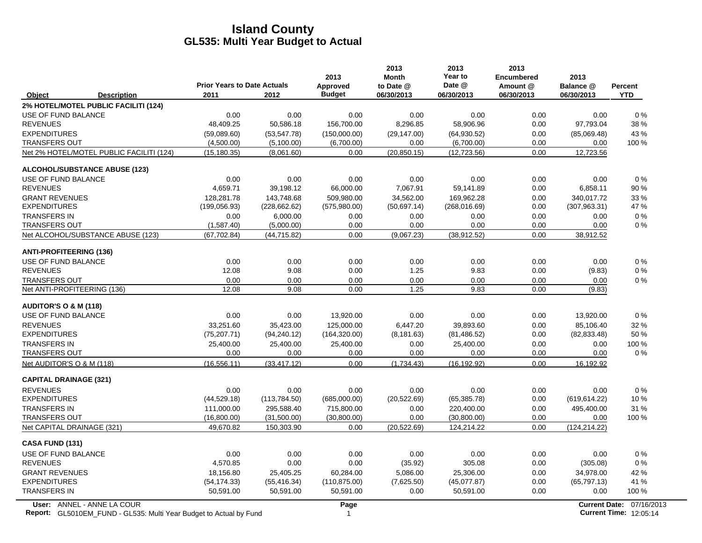|                                                                                                  | <b>Prior Years to Date Actuals</b> |               | 2013<br>Approved     | 2013<br><b>Month</b><br>to Date @ | 2013<br>Year to<br>Date @ | 2013<br><b>Encumbered</b><br>Amount @ | 2013<br>Balance @ | <b>Percent</b>                                            |
|--------------------------------------------------------------------------------------------------|------------------------------------|---------------|----------------------|-----------------------------------|---------------------------|---------------------------------------|-------------------|-----------------------------------------------------------|
| Object<br><b>Description</b>                                                                     | 2011                               | 2012          | <b>Budget</b>        | 06/30/2013                        | 06/30/2013                | 06/30/2013                            | 06/30/2013        | <b>YTD</b>                                                |
| 2% HOTEL/MOTEL PUBLIC FACILITI (124)                                                             |                                    |               |                      |                                   |                           |                                       |                   |                                                           |
| USE OF FUND BALANCE                                                                              | 0.00                               | 0.00          | 0.00                 | 0.00                              | 0.00                      | 0.00                                  | 0.00              | 0%                                                        |
| <b>REVENUES</b>                                                                                  | 48,409.25                          | 50,586.18     | 156,700.00           | 8,296.85                          | 58,906.96                 | 0.00                                  | 97,793.04         | 38 %                                                      |
| <b>EXPENDITURES</b>                                                                              | (59,089.60)                        | (53, 547.78)  | (150,000.00)         | (29, 147.00)                      | (64,930.52)               | 0.00                                  | (85,069.48)       | 43 %                                                      |
| <b>TRANSFERS OUT</b>                                                                             | (4,500.00)                         | (5,100.00)    | (6,700.00)           | 0.00                              | (6,700.00)                | 0.00                                  | 0.00              | 100 %                                                     |
| Net 2% HOTEL/MOTEL PUBLIC FACILITI (124)                                                         | (15, 180.35)                       | (8,061.60)    | 0.00                 | (20, 850.15)                      | (12, 723.56)              | 0.00                                  | 12,723.56         |                                                           |
| <b>ALCOHOL/SUBSTANCE ABUSE (123)</b>                                                             |                                    |               |                      |                                   |                           |                                       |                   |                                                           |
| USE OF FUND BALANCE                                                                              | 0.00                               | 0.00          | 0.00                 | 0.00                              | 0.00                      | 0.00                                  | 0.00              | 0%                                                        |
| <b>REVENUES</b>                                                                                  | 4,659.71                           | 39,198.12     | 66,000.00            | 7,067.91                          | 59,141.89                 | 0.00                                  | 6,858.11          | 90 %                                                      |
| <b>GRANT REVENUES</b>                                                                            | 128,281.78                         | 143,748.68    | 509,980.00           | 34,562.00                         | 169,962.28                | 0.00                                  | 340,017.72        | 33 %                                                      |
| <b>EXPENDITURES</b>                                                                              | (199, 056.93)                      | (228, 662.62) | (575,980.00)         | (50,697.14)                       | (268, 016.69)             | 0.00                                  | (307, 963.31)     | 47 %                                                      |
| <b>TRANSFERS IN</b>                                                                              | 0.00                               | 6,000.00      | 0.00                 | 0.00                              | 0.00                      | 0.00                                  | 0.00              | $0\%$                                                     |
| <b>TRANSFERS OUT</b>                                                                             | (1,587.40)                         | (5,000.00)    | 0.00                 | 0.00                              | 0.00                      | 0.00                                  | 0.00              | $0\%$                                                     |
| Net ALCOHOL/SUBSTANCE ABUSE (123)                                                                | (67, 702.84)                       | (44, 715.82)  | 0.00                 | (9,067.23)                        | (38, 912.52)              | 0.00                                  | 38,912.52         |                                                           |
| <b>ANTI-PROFITEERING (136)</b>                                                                   |                                    |               |                      |                                   |                           |                                       |                   |                                                           |
| <b>USE OF FUND BALANCE</b>                                                                       | 0.00                               | 0.00          | 0.00                 | 0.00                              | 0.00                      | 0.00                                  | 0.00              | 0%                                                        |
| <b>REVENUES</b>                                                                                  | 12.08                              | 9.08          | 0.00                 | 1.25                              | 9.83                      | 0.00                                  | (9.83)            | $0\%$                                                     |
| <b>TRANSFERS OUT</b>                                                                             | 0.00                               | 0.00          | 0.00                 | 0.00                              | 0.00                      | 0.00                                  | 0.00              | $0\%$                                                     |
| Net ANTI-PROFITEERING (136)                                                                      | 12.08                              | 9.08          | 0.00                 | 1.25                              | 9.83                      | 0.00                                  | (9.83)            |                                                           |
| <b>AUDITOR'S O &amp; M (118)</b>                                                                 |                                    |               |                      |                                   |                           |                                       |                   |                                                           |
| USE OF FUND BALANCE                                                                              | 0.00                               | 0.00          | 13,920.00            | 0.00                              | 0.00                      | 0.00                                  | 13,920.00         | $0\%$                                                     |
| <b>REVENUES</b>                                                                                  | 33,251.60                          | 35,423.00     | 125,000.00           | 6,447.20                          | 39,893.60                 | 0.00                                  | 85,106.40         | 32 %                                                      |
| <b>EXPENDITURES</b>                                                                              | (75, 207.71)                       | (94, 240.12)  | (164, 320.00)        | (8, 181.63)                       | (81, 486.52)              | 0.00                                  | (82, 833.48)      | 50 %                                                      |
| <b>TRANSFERS IN</b>                                                                              | 25,400.00                          | 25,400.00     | 25,400.00            | 0.00                              | 25,400.00                 | 0.00                                  | 0.00              | 100 %                                                     |
| <b>TRANSFERS OUT</b>                                                                             | 0.00                               | 0.00          | 0.00                 | 0.00                              | 0.00                      | 0.00                                  | 0.00              | $0\%$                                                     |
| Net AUDITOR'S O & M (118)                                                                        | (16, 556.11)                       | (33, 417.12)  | 0.00                 | (1,734.43)                        | (16, 192.92)              | 0.00                                  | 16,192.92         |                                                           |
| <b>CAPITAL DRAINAGE (321)</b>                                                                    |                                    |               |                      |                                   |                           |                                       |                   |                                                           |
| <b>REVENUES</b>                                                                                  | 0.00                               | 0.00          | 0.00                 | 0.00                              | 0.00                      | 0.00                                  | 0.00              | $0\%$                                                     |
| <b>EXPENDITURES</b>                                                                              | (44, 529.18)                       | (113,784.50)  | (685,000.00)         | (20, 522.69)                      | (65, 385.78)              | 0.00                                  | (619, 614.22)     | 10%                                                       |
| <b>TRANSFERS IN</b>                                                                              | 111,000.00                         | 295,588.40    | 715,800.00           | 0.00                              | 220,400.00                | 0.00                                  | 495,400.00        | 31 %                                                      |
| <b>TRANSFERS OUT</b>                                                                             | (16,800.00)                        | (31,500.00)   | (30,800.00)          | 0.00                              | (30,800.00)               | 0.00                                  | 0.00              | 100 %                                                     |
| Net CAPITAL DRAINAGE (321)                                                                       | 49,670.82                          | 150,303.90    | 0.00                 | (20, 522.69)                      | 124,214.22                | 0.00                                  | (124, 214.22)     |                                                           |
| CASA FUND (131)                                                                                  |                                    |               |                      |                                   |                           |                                       |                   |                                                           |
| USE OF FUND BALANCE                                                                              | 0.00                               | 0.00          | 0.00                 | 0.00                              | 0.00                      | 0.00                                  | 0.00              | 0%                                                        |
| <b>REVENUES</b>                                                                                  | 4,570.85                           | 0.00          | 0.00                 | (35.92)                           | 305.08                    | 0.00                                  | (305.08)          | 0%                                                        |
| <b>GRANT REVENUES</b>                                                                            | 18,156.80                          | 25,405.25     | 60,284.00            | 5,086.00                          | 25,306.00                 | 0.00                                  | 34,978.00         | 42 %                                                      |
| <b>EXPENDITURES</b>                                                                              | (54, 174.33)                       | (55, 416.34)  | (110, 875.00)        | (7,625.50)                        | (45,077.87)               | 0.00                                  | (65, 797.13)      | 41 %                                                      |
| <b>TRANSFERS IN</b>                                                                              | 50,591.00                          | 50,591.00     | 50,591.00            | 0.00                              | 50,591.00                 | 0.00                                  | 0.00              | 100 %                                                     |
| User: ANNEL - ANNE LA COUR<br>Report: GL5010EM_FUND - GL535: Multi Year Budget to Actual by Fund |                                    |               | Page<br>$\mathbf{1}$ |                                   |                           |                                       |                   | Current Date: 07/16/2013<br><b>Current Time: 12:05:14</b> |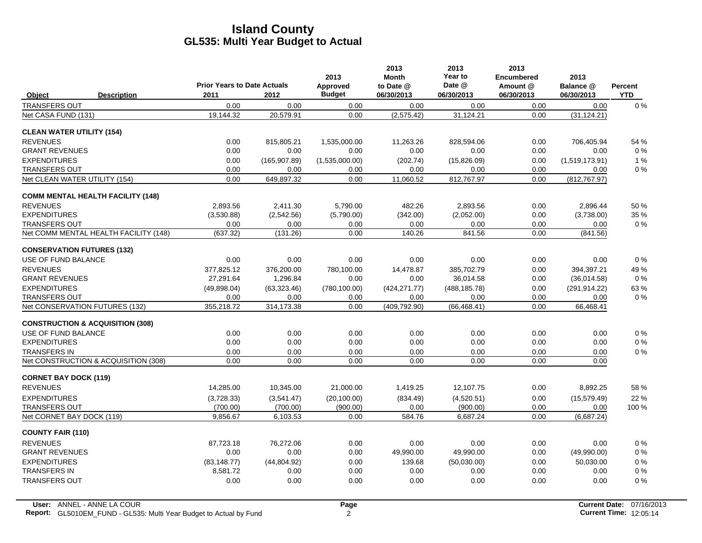|                                             | <b>Prior Years to Date Actuals</b> |               | 2013<br>Approved | 2013<br><b>Month</b><br>to Date @ | 2013<br>Year to<br>Date @ | 2013<br><b>Encumbered</b><br>Amount @ | 2013<br>Balance @ | Percent    |
|---------------------------------------------|------------------------------------|---------------|------------------|-----------------------------------|---------------------------|---------------------------------------|-------------------|------------|
| Object<br><b>Description</b>                | 2011                               | 2012          | <b>Budget</b>    | 06/30/2013                        | 06/30/2013                | 06/30/2013                            | 06/30/2013        | <b>YTD</b> |
| <b>TRANSFERS OUT</b>                        | 0.00                               | 0.00          | 0.00             | 0.00                              | 0.00                      | 0.00                                  | 0.00              | 0%         |
| Net CASA FUND (131)                         | 19,144.32                          | 20,579.91     | 0.00             | (2,575.42)                        | 31,124.21                 | 0.00                                  | (31, 124.21)      |            |
| <b>CLEAN WATER UTILITY (154)</b>            |                                    |               |                  |                                   |                           |                                       |                   |            |
| <b>REVENUES</b>                             | 0.00                               | 815,805.21    | 1,535,000.00     | 11,263.26                         | 828,594.06                | 0.00                                  | 706,405.94        | 54 %       |
| <b>GRANT REVENUES</b>                       | 0.00                               | 0.00          | 0.00             | 0.00                              | 0.00                      | 0.00                                  | 0.00              | $0\%$      |
| <b>EXPENDITURES</b>                         | 0.00                               | (165, 907.89) | (1,535,000.00)   | (202.74)                          | (15,826.09)               | 0.00                                  | (1,519,173.91)    | 1%         |
| <b>TRANSFERS OUT</b>                        | 0.00                               | 0.00          | 0.00             | 0.00                              | 0.00                      | 0.00                                  | 0.00              | $0\%$      |
| Net CLEAN WATER UTILITY (154)               | 0.00                               | 649,897.32    | 0.00             | 11,060.52                         | 812,767.97                | 0.00                                  | (812, 767.97)     |            |
| <b>COMM MENTAL HEALTH FACILITY (148)</b>    |                                    |               |                  |                                   |                           |                                       |                   |            |
| <b>REVENUES</b>                             | 2.893.56                           | 2.411.30      | 5,790.00         | 482.26                            | 2.893.56                  | 0.00                                  | 2.896.44          | 50 %       |
| <b>EXPENDITURES</b>                         | (3,530.88)                         | (2,542.56)    | (5,790.00)       | (342.00)                          | (2,052.00)                | 0.00                                  | (3,738.00)        | 35 %       |
| <b>TRANSFERS OUT</b>                        | 0.00                               | 0.00          | 0.00             | 0.00                              | 0.00                      | 0.00                                  | 0.00              | $0\%$      |
| Net COMM MENTAL HEALTH FACILITY (148)       | (637.32)                           | (131.26)      | 0.00             | 140.26                            | 841.56                    | 0.00                                  | (841.56)          |            |
| <b>CONSERVATION FUTURES (132)</b>           |                                    |               |                  |                                   |                           |                                       |                   |            |
| USE OF FUND BALANCE                         | 0.00                               | 0.00          | 0.00             | 0.00                              | 0.00                      | 0.00                                  | 0.00              | 0%         |
| <b>REVENUES</b>                             | 377,825.12                         | 376,200.00    | 780,100.00       | 14,478.87                         | 385,702.79                | 0.00                                  | 394,397.21        | 49 %       |
| <b>GRANT REVENUES</b>                       | 27,291.64                          | 1,296.84      | 0.00             | 0.00                              | 36,014.58                 | 0.00                                  | (36,014.58)       | 0%         |
| <b>EXPENDITURES</b>                         | (49,898.04)                        | (63, 323.46)  | (780, 100.00)    | (424, 271.77)                     | (488, 185.78)             | 0.00                                  | (291, 914.22)     | 63%        |
| <b>TRANSFERS OUT</b>                        | 0.00                               | 0.00          | 0.00             | 0.00                              | 0.00                      | 0.00                                  | 0.00              | $0\%$      |
| Net CONSERVATION FUTURES (132)              | 355,218.72                         | 314,173.38    | 0.00             | (409, 792.90)                     | (66, 468.41)              | 0.00                                  | 66,468.41         |            |
| <b>CONSTRUCTION &amp; ACQUISITION (308)</b> |                                    |               |                  |                                   |                           |                                       |                   |            |
| USE OF FUND BALANCE                         | 0.00                               | 0.00          | 0.00             | 0.00                              | 0.00                      | 0.00                                  | 0.00              | $0\%$      |
| <b>EXPENDITURES</b>                         | 0.00                               | 0.00          | 0.00             | 0.00                              | 0.00                      | 0.00                                  | 0.00              | $0\%$      |
| <b>TRANSFERS IN</b>                         | 0.00                               | 0.00          | 0.00             | 0.00                              | 0.00                      | 0.00                                  | 0.00              | $0\%$      |
| Net CONSTRUCTION & ACQUISITION (308)        | 0.00                               | 0.00          | 0.00             | 0.00                              | 0.00                      | 0.00                                  | 0.00              |            |
| <b>CORNET BAY DOCK (119)</b>                |                                    |               |                  |                                   |                           |                                       |                   |            |
| <b>REVENUES</b>                             | 14,285.00                          | 10,345.00     | 21,000.00        | 1,419.25                          | 12,107.75                 | 0.00                                  | 8,892.25          | 58 %       |
| <b>EXPENDITURES</b>                         | (3,728.33)                         | (3,541.47)    | (20, 100.00)     | (834.49)                          | (4,520.51)                | 0.00                                  | (15, 579.49)      | 22 %       |
| <b>TRANSFERS OUT</b>                        | (700.00)                           | (700.00)      | (900.00)         | 0.00                              | (900.00)                  | 0.00                                  | 0.00              | 100 %      |
| Net CORNET BAY DOCK (119)                   | 9,856.67                           | 6,103.53      | 0.00             | 584.76                            | 6,687.24                  | 0.00                                  | (6,687.24)        |            |
| <b>COUNTY FAIR (110)</b>                    |                                    |               |                  |                                   |                           |                                       |                   |            |
| <b>REVENUES</b>                             | 87.723.18                          | 76.272.06     | 0.00             | 0.00                              | 0.00                      | 0.00                                  | 0.00              | $0\%$      |
| <b>GRANT REVENUES</b>                       | 0.00                               | 0.00          | 0.00             | 49,990.00                         | 49,990.00                 | 0.00                                  | (49,990.00)       | $0\%$      |
| <b>EXPENDITURES</b>                         | (83, 148.77)                       | (44,804.92)   | 0.00             | 139.68                            | (50,030.00)               | 0.00                                  | 50,030.00         | $0\%$      |
| <b>TRANSFERS IN</b>                         | 8,581.72                           | 0.00          | 0.00             | 0.00                              | 0.00                      | 0.00                                  | 0.00              | $0\%$      |
| <b>TRANSFERS OUT</b>                        | 0.00                               | 0.00          | 0.00             | 0.00                              | 0.00                      | 0.00                                  | 0.00              | 0%         |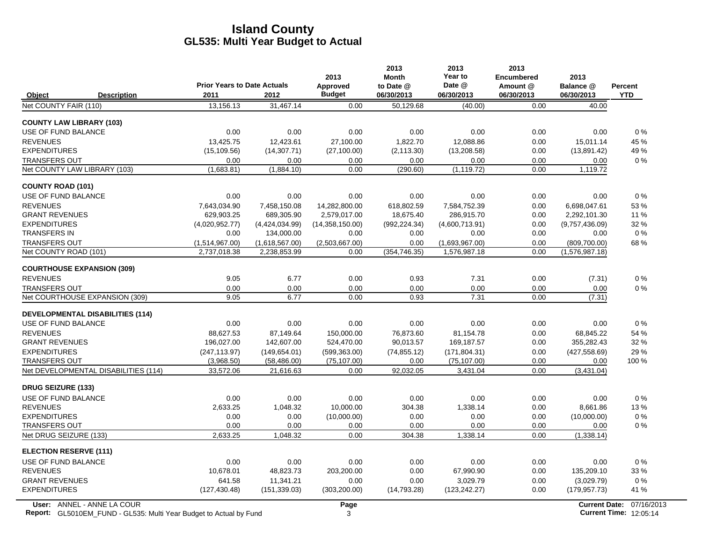|                                         |                                    |                | 2013            | 2013<br><b>Month</b> | 2013<br>Year to | 2013<br><b>Encumbered</b> | 2013           |                |
|-----------------------------------------|------------------------------------|----------------|-----------------|----------------------|-----------------|---------------------------|----------------|----------------|
|                                         | <b>Prior Years to Date Actuals</b> |                | Approved        | to Date @            | Date @          | Amount @                  | Balance @      | <b>Percent</b> |
| Object<br><b>Description</b>            | 2011                               | 2012           | <b>Budget</b>   | 06/30/2013           | 06/30/2013      | 06/30/2013                | 06/30/2013     | <b>YTD</b>     |
| Net COUNTY FAIR (110)                   | 13,156.13                          | 31.467.14      | 0.00            | 50.129.68            | (40.00)         | 0.00                      | 40.00          |                |
| <b>COUNTY LAW LIBRARY (103)</b>         |                                    |                |                 |                      |                 |                           |                |                |
| USE OF FUND BALANCE                     | 0.00                               | 0.00           | 0.00            | 0.00                 | 0.00            | 0.00                      | 0.00           | $0\%$          |
| <b>REVENUES</b>                         | 13.425.75                          | 12.423.61      | 27.100.00       | 1.822.70             | 12.088.86       | 0.00                      | 15.011.14      | 45 %           |
| <b>EXPENDITURES</b>                     | (15, 109.56)                       | (14, 307.71)   | (27, 100.00)    | (2, 113.30)          | (13, 208.58)    | 0.00                      | (13,891.42)    | 49 %           |
| <b>TRANSFERS OUT</b>                    | 0.00                               | 0.00           | 0.00            | 0.00                 | 0.00            | 0.00                      | 0.00           | $0\%$          |
| Net COUNTY LAW LIBRARY (103)            | (1,683.81)                         | (1,884.10)     | 0.00            | (290.60)             | (1, 119.72)     | 0.00                      | 1,119.72       |                |
| <b>COUNTY ROAD (101)</b>                |                                    |                |                 |                      |                 |                           |                |                |
| USE OF FUND BALANCE                     | 0.00                               | 0.00           | 0.00            | 0.00                 | 0.00            | 0.00                      | 0.00           | 0%             |
| <b>REVENUES</b>                         | 7,643,034.90                       | 7,458,150.08   | 14,282,800.00   | 618,802.59           | 7,584,752.39    | 0.00                      | 6,698,047.61   | 53%            |
| <b>GRANT REVENUES</b>                   | 629,903.25                         | 689,305.90     | 2,579,017.00    | 18,675.40            | 286,915.70      | 0.00                      | 2,292,101.30   | 11 %           |
| <b>EXPENDITURES</b>                     | (4,020,952.77)                     | (4,424,034.99) | (14,358,150.00) | (992, 224.34)        | (4,600,713.91)  | 0.00                      | (9,757,436.09) | 32 %           |
| <b>TRANSFERS IN</b>                     | 0.00                               | 134,000.00     | 0.00            | 0.00                 | 0.00            | 0.00                      | 0.00           | $0\%$          |
| <b>TRANSFERS OUT</b>                    | (1,514,967.00)                     | (1,618,567.00) | (2,503,667.00)  | 0.00                 | (1,693,967.00)  | 0.00                      | (809, 700.00)  | 68%            |
| Net COUNTY ROAD (101)                   | 2,737,018.38                       | 2,238,853.99   | 0.00            | (354, 746.35)        | 1,576,987.18    | 0.00                      | (1,576,987.18) |                |
| <b>COURTHOUSE EXPANSION (309)</b>       |                                    |                |                 |                      |                 |                           |                |                |
| <b>REVENUES</b>                         | 9.05                               | 6.77           | 0.00            | 0.93                 | 7.31            | 0.00                      | (7.31)         | $0\%$          |
| <b>TRANSFERS OUT</b>                    | 0.00                               | 0.00           | 0.00            | 0.00                 | 0.00            | 0.00                      | 0.00           | $0\%$          |
| Net COURTHOUSE EXPANSION (309)          | 9.05                               | 6.77           | 0.00            | 0.93                 | 7.31            | 0.00                      | (7.31)         |                |
| <b>DEVELOPMENTAL DISABILITIES (114)</b> |                                    |                |                 |                      |                 |                           |                |                |
| USE OF FUND BALANCE                     | 0.00                               | 0.00           | 0.00            | 0.00                 | 0.00            | 0.00                      | 0.00           | 0%             |
| <b>REVENUES</b>                         | 88.627.53                          | 87,149.64      | 150,000.00      | 76.873.60            | 81.154.78       | 0.00                      | 68.845.22      | 54 %           |
| <b>GRANT REVENUES</b>                   | 196,027.00                         | 142,607.00     | 524,470.00      | 90,013.57            | 169,187.57      | 0.00                      | 355,282.43     | 32 %           |
| <b>EXPENDITURES</b>                     | (247, 113.97)                      | (149, 654.01)  | (599, 363.00)   | (74, 855.12)         | (171, 804.31)   | 0.00                      | (427, 558.69)  | 29 %           |
| <b>TRANSFERS OUT</b>                    | (3,968.50)                         | (58, 486.00)   | (75, 107.00)    | 0.00                 | (75, 107.00)    | 0.00                      | 0.00           | 100 %          |
| Net DEVELOPMENTAL DISABILITIES (114)    | 33.572.06                          | 21.616.63      | 0.00            | 92,032.05            | 3,431.04        | 0.00                      | (3,431.04)     |                |
| <b>DRUG SEIZURE (133)</b>               |                                    |                |                 |                      |                 |                           |                |                |
| USE OF FUND BALANCE                     | 0.00                               | 0.00           | 0.00            | 0.00                 | 0.00            | 0.00                      | 0.00           | 0%             |
| <b>REVENUES</b>                         | 2.633.25                           | 1,048.32       | 10,000.00       | 304.38               | 1,338.14        | 0.00                      | 8,661.86       | 13%            |
| <b>EXPENDITURES</b>                     | 0.00                               | 0.00           | (10,000.00)     | 0.00                 | 0.00            | 0.00                      | (10,000.00)    | $0\%$          |
| <b>TRANSFERS OUT</b>                    | 0.00                               | 0.00           | 0.00            | 0.00                 | 0.00            | 0.00                      | 0.00           | $0\%$          |
| Net DRUG SEIZURE (133)                  | 2,633.25                           | 1,048.32       | 0.00            | 304.38               | 1,338.14        | 0.00                      | (1,338.14)     |                |
| <b>ELECTION RESERVE (111)</b>           |                                    |                |                 |                      |                 |                           |                |                |
| USE OF FUND BALANCE                     | 0.00                               | 0.00           | 0.00            | 0.00                 | 0.00            | 0.00                      | 0.00           | 0%             |
| <b>REVENUES</b>                         | 10,678.01                          | 48,823.73      | 203,200.00      | 0.00                 | 67,990.90       | 0.00                      | 135,209.10     | 33 %           |
| <b>GRANT REVENUES</b>                   | 641.58                             | 11,341.21      | 0.00            | 0.00                 | 3.029.79        | 0.00                      | (3,029.79)     | $0\%$          |
| <b>EXPENDITURES</b>                     | (127, 430.48)                      | (151, 339.03)  | (303, 200.00)   | (14,793.28)          | (123, 242.27)   | 0.00                      | (179, 957.73)  | 41 %           |
|                                         |                                    |                |                 |                      |                 |                           |                |                |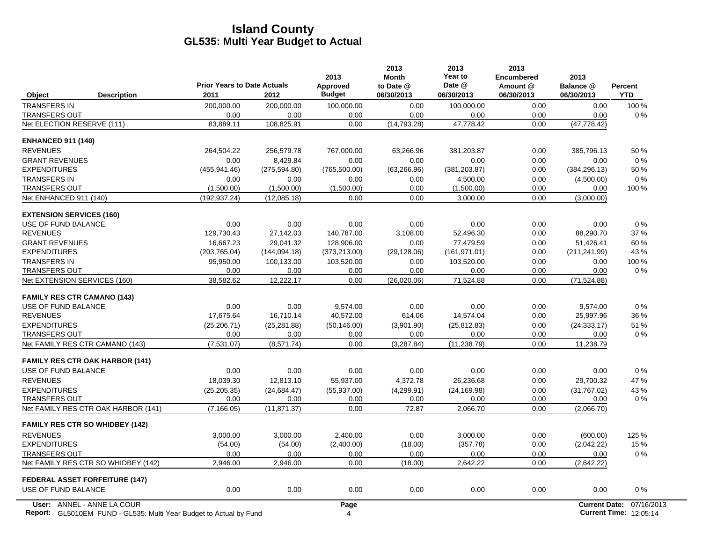|                                        | <b>Prior Years to Date Actuals</b> |                    | 2013<br>Approved | 2013<br><b>Month</b><br>to Date @ | 2013<br>Year to<br>Date @ | 2013<br><b>Encumbered</b><br>Amount @ | 2013<br>Balance @    | Percent        |
|----------------------------------------|------------------------------------|--------------------|------------------|-----------------------------------|---------------------------|---------------------------------------|----------------------|----------------|
| Object<br><b>Description</b>           | 2011                               | 2012               | <b>Budget</b>    | 06/30/2013                        | 06/30/2013                | 06/30/2013                            | 06/30/2013           | <b>YTD</b>     |
| <b>TRANSFERS IN</b>                    | 200,000.00                         | 200,000.00         | 100,000.00       | 0.00                              | 100,000.00                | 0.00                                  | 0.00                 | 100 %          |
| <b>TRANSFERS OUT</b>                   | 0.00                               | 0.00               | 0.00             | 0.00                              | 0.00                      | 0.00                                  | 0.00                 | 0%             |
| Net ELECTION RESERVE (111)             | 83,889.11                          | 108,825.91         | 0.00             | (14, 793.28)                      | 47,778.42                 | 0.00                                  | (47, 778.42)         |                |
| <b>ENHANCED 911 (140)</b>              |                                    |                    |                  |                                   |                           |                                       |                      |                |
| <b>REVENUES</b>                        | 264,504.22                         | 256,579.78         | 767,000.00       | 63.266.96                         | 381,203.87                | 0.00                                  | 385,796.13           | 50 %           |
| <b>GRANT REVENUES</b>                  | 0.00                               | 8.429.84           | 0.00             | 0.00                              | 0.00                      | 0.00                                  | 0.00                 | $0\%$          |
| <b>EXPENDITURES</b>                    | (455, 941.46)                      | (275, 594.80)      | (765, 500.00)    | (63, 266.96)                      | (381, 203.87)             | 0.00                                  | (384, 296.13)        | 50 %           |
| <b>TRANSFERS IN</b>                    | 0.00                               | 0.00               | 0.00             | 0.00                              | 4,500.00                  | 0.00                                  | (4,500.00)           | 0%             |
| <b>TRANSFERS OUT</b>                   | (1,500.00)                         | (1,500.00)         | (1,500.00)       | 0.00                              | (1,500.00)                | 0.00                                  | 0.00                 | 100 %          |
| Net ENHANCED 911 (140)                 | (192, 937.24)                      | (12,085.18)        | 0.00             | 0.00                              | 3,000.00                  | 0.00                                  | (3,000.00)           |                |
| <b>EXTENSION SERVICES (160)</b>        |                                    |                    |                  |                                   |                           |                                       |                      |                |
| USE OF FUND BALANCE                    | 0.00                               | 0.00               | 0.00             | 0.00                              | 0.00                      | 0.00                                  | 0.00                 | 0%             |
| <b>REVENUES</b>                        | 129,730.43                         | 27,142.03          | 140,787.00       | 3.108.00                          | 52,496.30                 | 0.00                                  | 88,290.70            | 37 %           |
| <b>GRANT REVENUES</b>                  | 16.667.23                          | 29.041.32          | 128.906.00       | 0.00                              | 77.479.59                 | 0.00                                  | 51.426.41            | 60%            |
| <b>EXPENDITURES</b>                    | (203, 765.04)                      | (144, 094.18)      | (373, 213.00)    | (29, 128.06)                      | (161, 971.01)             | 0.00                                  | (211, 241.99)        | 43 %           |
| <b>TRANSFERS IN</b>                    | 95,950.00                          | 100,133.00<br>0.00 | 103,520.00       | 0.00<br>0.00                      | 103,520.00                | 0.00                                  | 0.00<br>0.00         | 100 %<br>$0\%$ |
| <b>TRANSFERS OUT</b>                   | 0.00                               |                    | 0.00<br>0.00     |                                   | 0.00<br>71.524.88         | 0.00<br>0.00                          |                      |                |
| Net EXTENSION SERVICES (160)           | 38,582.62                          | 12,222.17          |                  | (26,020.06)                       |                           |                                       | (71, 524.88)         |                |
| <b>FAMILY RES CTR CAMANO (143)</b>     |                                    |                    |                  |                                   |                           |                                       |                      |                |
| USE OF FUND BALANCE                    | 0.00                               | 0.00               | 9,574.00         | 0.00                              | 0.00                      | 0.00                                  | 9,574.00             | 0%             |
| <b>REVENUES</b>                        | 17,675.64                          | 16,710.14          | 40,572.00        | 614.06                            | 14,574.04                 | 0.00                                  | 25,997.96            | 36 %           |
| <b>EXPENDITURES</b>                    | (25, 206.71)                       | (25, 281.88)       | (50, 146.00)     | (3,901.90)                        | (25, 812.83)              | 0.00                                  | (24, 333, 17)        | 51 %           |
| <b>TRANSFERS OUT</b>                   | 0.00                               | 0.00               | 0.00             | 0.00                              | 0.00                      | 0.00                                  | 0.00                 | 0%             |
| Net FAMILY RES CTR CAMANO (143)        | (7,531.07)                         | (8,571.74)         | 0.00             | (3, 287.84)                       | (11, 238.79)              | 0.00                                  | 11,238.79            |                |
| <b>FAMILY RES CTR OAK HARBOR (141)</b> |                                    |                    |                  |                                   |                           |                                       |                      |                |
| USE OF FUND BALANCE                    | 0.00                               | 0.00               | 0.00             | 0.00                              | 0.00                      | 0.00                                  | 0.00                 | 0%             |
| <b>REVENUES</b>                        | 18,039.30                          | 12,813.10          | 55,937.00        | 4,372.78                          | 26,236.68                 | 0.00                                  | 29,700.32            | 47 %           |
| <b>EXPENDITURES</b>                    | (25, 205.35)                       | (24, 684.47)       | (55, 937.00)     | (4,299.91)                        | (24, 169.98)              | 0.00                                  | (31,767.02)          | 43 %           |
| <b>TRANSFERS OUT</b>                   | 0.00                               | 0.00               | 0.00             | 0.00                              | 0.00                      | 0.00                                  | 0.00                 | $0\%$          |
| Net FAMILY RES CTR OAK HARBOR (141)    | (7, 166.05)                        | (11, 871.37)       | 0.00             | 72.87                             | 2,066.70                  | 0.00                                  | (2,066.70)           |                |
| <b>FAMILY RES CTR SO WHIDBEY (142)</b> |                                    |                    |                  |                                   |                           |                                       |                      |                |
| <b>REVENUES</b>                        | 3.000.00                           | 3.000.00           | 2.400.00         | 0.00                              | 3.000.00                  | 0.00                                  | (600.00)             | 125 %          |
| <b>EXPENDITURES</b>                    | (54.00)                            | (54.00)            | (2,400.00)       | (18.00)                           | (357.78)                  | 0.00                                  | (2,042.22)           | 15 %           |
| <b>TRANSFERS OUT</b>                   | 0.00                               | 0.00               | 0.00             | 0.00                              | 0.00                      | 0.00                                  | 0.00                 | 0%             |
| Net FAMILY RES CTR SO WHIDBEY (142)    | 2,946.00                           | 2,946.00           | 0.00             | (18.00)                           | 2,642.22                  | 0.00                                  | (2,642.22)           |                |
| <b>FEDERAL ASSET FORFEITURE (147)</b>  |                                    |                    |                  |                                   |                           |                                       |                      |                |
| USE OF FUND BALANCE                    | 0.00                               | 0.00               | 0.00             | 0.00                              | 0.00                      | 0.00                                  | 0.00                 | 0%             |
| User: ANNEL - ANNE LA COUR             |                                    |                    | Page             |                                   |                           |                                       | <b>Current Date:</b> | 07/16/2013     |

**Report:** GL5010EM\_FUND - GL535: Multi Year Budget to Actual by Fund 12:05:14 12:05:14 12:05:14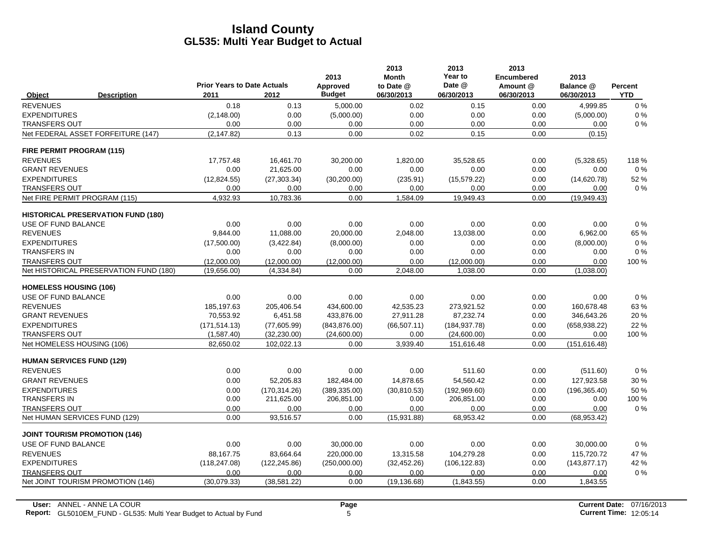|                                      |                                           |                                            |               | 2013                      | 2013<br><b>Month</b>    | 2013<br>Year to      | 2013<br><b>Encumbered</b> | 2013                    |                       |
|--------------------------------------|-------------------------------------------|--------------------------------------------|---------------|---------------------------|-------------------------|----------------------|---------------------------|-------------------------|-----------------------|
| Object                               | <b>Description</b>                        | <b>Prior Years to Date Actuals</b><br>2011 | 2012          | Approved<br><b>Budget</b> | to Date @<br>06/30/2013 | Date @<br>06/30/2013 | Amount @<br>06/30/2013    | Balance @<br>06/30/2013 | Percent<br><b>YTD</b> |
| <b>REVENUES</b>                      |                                           | 0.18                                       | 0.13          | 5,000.00                  | 0.02                    | 0.15                 | 0.00                      | 4.999.85                | $0\%$                 |
| <b>EXPENDITURES</b>                  |                                           | (2, 148.00)                                | 0.00          | (5,000.00)                | 0.00                    | 0.00                 | 0.00                      | (5,000.00)              | $0\%$                 |
| <b>TRANSFERS OUT</b>                 |                                           | 0.00                                       | 0.00          | 0.00                      | 0.00                    | 0.00                 | 0.00                      | 0.00                    | $0\%$                 |
|                                      | Net FEDERAL ASSET FORFEITURE (147)        | (2, 147.82)                                | 0.13          | 0.00                      | 0.02                    | 0.15                 | 0.00                      | (0.15)                  |                       |
| FIRE PERMIT PROGRAM (115)            |                                           |                                            |               |                           |                         |                      |                           |                         |                       |
| <b>REVENUES</b>                      |                                           | 17.757.48                                  | 16,461.70     | 30.200.00                 | 1.820.00                | 35.528.65            | 0.00                      | (5,328.65)              | 118%                  |
| <b>GRANT REVENUES</b>                |                                           | 0.00                                       | 21,625.00     | 0.00                      | 0.00                    | 0.00                 | 0.00                      | 0.00                    | $0\%$                 |
| <b>EXPENDITURES</b>                  |                                           | (12, 824.55)                               | (27, 303.34)  | (30, 200.00)              | (235.91)                | (15, 579.22)         | 0.00                      | (14,620.78)             | 52 %                  |
| <b>TRANSFERS OUT</b>                 |                                           | 0.00                                       | 0.00          | 0.00                      | 0.00                    | 0.00                 | 0.00                      | 0.00                    | $0\%$                 |
| Net FIRE PERMIT PROGRAM (115)        |                                           | 4,932.93                                   | 10,783.36     | 0.00                      | 1,584.09                | 19,949.43            | 0.00                      | (19,949.43)             |                       |
|                                      | <b>HISTORICAL PRESERVATION FUND (180)</b> |                                            |               |                           |                         |                      |                           |                         |                       |
| USE OF FUND BALANCE                  |                                           | 0.00                                       | 0.00          | 0.00                      | 0.00                    | 0.00                 | 0.00                      | 0.00                    | 0%                    |
| <b>REVENUES</b>                      |                                           | 9,844.00                                   | 11,088.00     | 20,000.00                 | 2,048.00                | 13,038.00            | 0.00                      | 6,962.00                | 65 %                  |
| <b>EXPENDITURES</b>                  |                                           | (17,500.00)                                | (3,422.84)    | (8,000.00)                | 0.00                    | 0.00                 | 0.00                      | (8,000.00)              | 0%                    |
| <b>TRANSFERS IN</b>                  |                                           | 0.00                                       | 0.00          | 0.00                      | 0.00                    | 0.00                 | 0.00                      | 0.00                    | 0%                    |
| <b>TRANSFERS OUT</b>                 |                                           | (12.000.00)                                | (12.000.00)   | (12,000.00)               | 0.00                    | (12,000.00)          | 0.00                      | 0.00                    | 100 %                 |
|                                      | Net HISTORICAL PRESERVATION FUND (180)    | (19,656.00)                                | (4,334.84)    | 0.00                      | 2,048.00                | 1,038.00             | 0.00                      | (1,038.00)              |                       |
| <b>HOMELESS HOUSING (106)</b>        |                                           |                                            |               |                           |                         |                      |                           |                         |                       |
| USE OF FUND BALANCE                  |                                           | 0.00                                       | 0.00          | 0.00                      | 0.00                    | 0.00                 | 0.00                      | 0.00                    | 0%                    |
| <b>REVENUES</b>                      |                                           | 185,197.63                                 | 205,406.54    | 434,600.00                | 42,535.23               | 273,921.52           | 0.00                      | 160,678.48              | 63%                   |
| <b>GRANT REVENUES</b>                |                                           | 70,553.92                                  | 6,451.58      | 433,876.00                | 27,911.28               | 87,232.74            | 0.00                      | 346,643.26              | 20 %                  |
| <b>EXPENDITURES</b>                  |                                           | (171, 514.13)                              | (77,605.99)   | (843, 876.00)             | (66, 507.11)            | (184, 937.78)        | 0.00                      | (658, 938.22)           | 22 %                  |
| <b>TRANSFERS OUT</b>                 |                                           | (1,587.40)                                 | (32, 230.00)  | (24,600.00)               | 0.00                    | (24,600.00)          | 0.00                      | 0.00                    | 100 %                 |
| Net HOMELESS HOUSING (106)           |                                           | 82,650.02                                  | 102,022.13    | 0.00                      | 3,939.40                | 151,616.48           | 0.00                      | (151, 616.48)           |                       |
| <b>HUMAN SERVICES FUND (129)</b>     |                                           |                                            |               |                           |                         |                      |                           |                         |                       |
| <b>REVENUES</b>                      |                                           | 0.00                                       | 0.00          | 0.00                      | 0.00                    | 511.60               | 0.00                      | (511.60)                | 0%                    |
| <b>GRANT REVENUES</b>                |                                           | 0.00                                       | 52,205.83     | 182,484.00                | 14,878.65               | 54,560.42            | 0.00                      | 127,923.58              | 30 %                  |
| <b>EXPENDITURES</b>                  |                                           | 0.00                                       | (170.314.26)  | (389, 335.00)             | (30, 810.53)            | (192, 969.60)        | 0.00                      | (196, 365.40)           | 50%                   |
| <b>TRANSFERS IN</b>                  |                                           | 0.00                                       | 211,625.00    | 206,851.00                | 0.00                    | 206,851.00           | 0.00                      | 0.00                    | 100 %                 |
| <b>TRANSFERS OUT</b>                 |                                           | 0.00                                       | 0.00          | 0.00                      | 0.00                    | 0.00                 | 0.00                      | 0.00                    | $0\%$                 |
| Net HUMAN SERVICES FUND (129)        |                                           | 0.00                                       | 93,516.57     | 0.00                      | (15,931.88)             | 68,953.42            | 0.00                      | (68, 953.42)            |                       |
| <b>JOINT TOURISM PROMOTION (146)</b> |                                           |                                            |               |                           |                         |                      |                           |                         |                       |
| USE OF FUND BALANCE                  |                                           | 0.00                                       | 0.00          | 30,000.00                 | 0.00                    | 0.00                 | 0.00                      | 30,000.00               | $0\%$                 |
| <b>REVENUES</b>                      |                                           | 88,167.75                                  | 83,664.64     | 220,000.00                | 13,315.58               | 104,279.28           | 0.00                      | 115,720.72              | 47 %                  |
| <b>EXPENDITURES</b>                  |                                           | (118, 247.08)                              | (122, 245.86) | (250,000.00)              | (32, 452.26)            | (106, 122.83)        | 0.00                      | (143, 877.17)           | 42 %                  |
| <b>TRANSFERS OUT</b>                 |                                           | 0.00                                       | 0.00          | 0.00                      | 0.00                    | 0.00                 | 0.00                      | 0.00                    | $0\%$                 |
|                                      | Net JOINT TOURISM PROMOTION (146)         | (30,079.33)                                | (38, 581.22)  | 0.00                      | (19, 136.68)            | (1,843.55)           | 0.00                      | 1,843.55                |                       |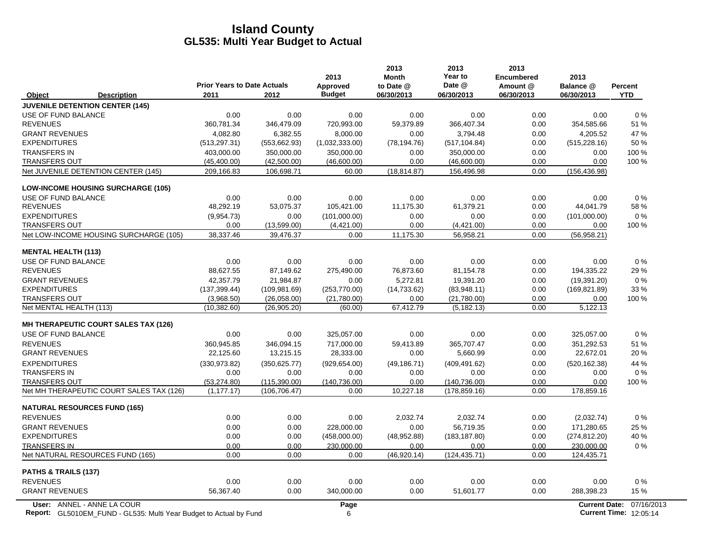|                                                                                                  | <b>Prior Years to Date Actuals</b> |               | 2013<br>Approved | 2013<br><b>Month</b><br>to Date @ | 2013<br>Year to<br>Date @ | 2013<br><b>Encumbered</b><br>Amount @ | 2013<br>Balance @ | Percent                                                   |
|--------------------------------------------------------------------------------------------------|------------------------------------|---------------|------------------|-----------------------------------|---------------------------|---------------------------------------|-------------------|-----------------------------------------------------------|
| <b>Description</b><br>Object                                                                     | 2011                               | 2012          | <b>Budget</b>    | 06/30/2013                        | 06/30/2013                | 06/30/2013                            | 06/30/2013        | <b>YTD</b>                                                |
| <b>JUVENILE DETENTION CENTER (145)</b>                                                           |                                    |               |                  |                                   |                           |                                       |                   |                                                           |
| USE OF FUND BALANCE                                                                              | 0.00                               | 0.00          | 0.00             | 0.00                              | 0.00                      | 0.00                                  | 0.00              | 0%                                                        |
| <b>REVENUES</b>                                                                                  | 360,781.34                         | 346,479.09    | 720,993.00       | 59,379.89                         | 366,407.34                | 0.00                                  | 354,585.66        | 51 %                                                      |
| <b>GRANT REVENUES</b>                                                                            | 4,082.80                           | 6,382.55      | 8,000.00         | 0.00                              | 3,794.48                  | 0.00                                  | 4,205.52          | 47 %                                                      |
| <b>EXPENDITURES</b>                                                                              | (513, 297.31)                      | (553, 662.93) | (1,032,333.00)   | (78, 194.76)                      | (517, 104.84)             | 0.00                                  | (515, 228.16)     | 50 %                                                      |
| <b>TRANSFERS IN</b>                                                                              | 403,000.00                         | 350,000.00    | 350,000.00       | 0.00                              | 350,000.00                | 0.00                                  | 0.00              | 100 %                                                     |
| <b>TRANSFERS OUT</b>                                                                             | (45, 400.00)                       | (42,500.00)   | (46,600.00)      | 0.00                              | (46,600.00)               | 0.00                                  | 0.00              | 100 %                                                     |
| Net JUVENILE DETENTION CENTER (145)                                                              | 209,166.83                         | 106,698.71    | 60.00            | (18, 814.87)                      | 156.496.98                | 0.00                                  | (156, 436.98)     |                                                           |
| <b>LOW-INCOME HOUSING SURCHARGE (105)</b>                                                        |                                    |               |                  |                                   |                           |                                       |                   |                                                           |
| USE OF FUND BALANCE                                                                              | 0.00                               | 0.00          | 0.00             | 0.00                              | 0.00                      | 0.00                                  | 0.00              | $0\%$                                                     |
| <b>REVENUES</b>                                                                                  | 48,292.19                          | 53,075.37     | 105,421.00       | 11,175.30                         | 61,379.21                 | 0.00                                  | 44,041.79         | 58 %                                                      |
| <b>EXPENDITURES</b>                                                                              | (9,954.73)                         | 0.00          | (101,000.00)     | 0.00                              | 0.00                      | 0.00                                  | (101,000.00)      | 0%                                                        |
| <b>TRANSFERS OUT</b>                                                                             | 0.00                               | (13,599.00)   | (4,421.00)       | 0.00                              | (4,421.00)                | 0.00                                  | 0.00              | 100 %                                                     |
| Net LOW-INCOME HOUSING SURCHARGE (105)                                                           | 38,337.46                          | 39,476.37     | 0.00             | 11,175.30                         | 56,958.21                 | 0.00                                  | (56,958.21)       |                                                           |
| <b>MENTAL HEALTH (113)</b>                                                                       |                                    |               |                  |                                   |                           |                                       |                   |                                                           |
| USE OF FUND BALANCE                                                                              | 0.00                               | 0.00          | 0.00             | 0.00                              | 0.00                      | 0.00                                  | 0.00              | 0%                                                        |
| <b>REVENUES</b>                                                                                  | 88,627.55                          | 87,149.62     | 275,490.00       | 76,873.60                         | 81,154.78                 | 0.00                                  | 194,335.22        | 29 %                                                      |
| <b>GRANT REVENUES</b>                                                                            | 42,357.79                          | 21,984.87     | 0.00             | 5,272.81                          | 19,391.20                 | 0.00                                  | (19, 391.20)      | $0\%$                                                     |
| <b>EXPENDITURES</b>                                                                              | (137, 399.44)                      | (109, 981.69) | (253, 770.00)    | (14, 733.62)                      | (83,948.11)               | 0.00                                  | (169, 821.89)     | 33 %                                                      |
| <b>TRANSFERS OUT</b>                                                                             | (3,968.50)                         | (26,058.00)   | (21,780.00)      | 0.00                              | (21,780.00)               | 0.00                                  | 0.00              | 100 %                                                     |
| Net MENTAL HEALTH (113)                                                                          | (10, 382.60)                       | (26,905.20)   | (60.00)          | 67,412.79                         | (5, 182.13)               | 0.00                                  | 5,122.13          |                                                           |
| <b>MH THERAPEUTIC COURT SALES TAX (126)</b>                                                      |                                    |               |                  |                                   |                           |                                       |                   |                                                           |
| USE OF FUND BALANCE                                                                              | 0.00                               | 0.00          | 325,057.00       | 0.00                              | 0.00                      | 0.00                                  | 325,057.00        | 0%                                                        |
| <b>REVENUES</b>                                                                                  | 360,945.85                         | 346.094.15    | 717,000.00       | 59,413.89                         | 365.707.47                | 0.00                                  | 351,292.53        | 51 %                                                      |
| <b>GRANT REVENUES</b>                                                                            | 22,125.60                          | 13,215.15     | 28,333.00        | 0.00                              | 5,660.99                  | 0.00                                  | 22,672.01         | 20%                                                       |
| <b>EXPENDITURES</b>                                                                              | (330.973.82)                       | (350.625.77)  | (929, 654.00)    | (49, 186.71)                      | (409, 491.62)             | 0.00                                  | (520, 162.38)     | 44 %                                                      |
| <b>TRANSFERS IN</b>                                                                              | 0.00                               | 0.00          | 0.00             | 0.00                              | 0.00                      | 0.00                                  | 0.00              | $0\%$                                                     |
| <b>TRANSFERS OUT</b>                                                                             | (53, 274.80)                       | (115.390.00)  | (140.736.00)     | 0.00                              | (140, 736.00)             | 0.00                                  | 0.00              | 100 %                                                     |
| Net MH THERAPEUTIC COURT SALES TAX (126)                                                         | (1, 177.17)                        | (106, 706.47) | 0.00             | 10,227.18                         | (178, 859.16)             | 0.00                                  | 178,859.16        |                                                           |
| <b>NATURAL RESOURCES FUND (165)</b>                                                              |                                    |               |                  |                                   |                           |                                       |                   |                                                           |
| <b>REVENUES</b>                                                                                  | 0.00                               | 0.00          | 0.00             | 2,032.74                          | 2,032.74                  | 0.00                                  | (2,032.74)        | 0%                                                        |
| <b>GRANT REVENUES</b>                                                                            | 0.00                               | 0.00          | 228,000.00       | 0.00                              | 56,719.35                 | 0.00                                  | 171,280.65        | 25 %                                                      |
| <b>EXPENDITURES</b>                                                                              | 0.00                               | 0.00          | (458,000.00)     | (48,952.88)                       | (183, 187.80)             | 0.00                                  | (274, 812.20)     | 40 %                                                      |
| <b>TRANSFERS IN</b>                                                                              | 0.00                               | 0.00          | 230,000.00       | 0.00                              | 0.00                      | 0.00                                  | 230,000.00        | 0%                                                        |
| Net NATURAL RESOURCES FUND (165)                                                                 | 0.00                               | 0.00          | 0.00             | (46,920.14)                       | (124, 435.71)             | 0.00                                  | 124,435.71        |                                                           |
| PATHS & TRAILS (137)                                                                             |                                    |               |                  |                                   |                           |                                       |                   |                                                           |
| <b>REVENUES</b>                                                                                  | 0.00                               | 0.00          | 0.00             | 0.00                              | 0.00                      | 0.00                                  | 0.00              | $0\%$                                                     |
| <b>GRANT REVENUES</b>                                                                            | 56,367.40                          | 0.00          | 340,000.00       | 0.00                              | 51,601.77                 | 0.00                                  | 288,398.23        | 15 %                                                      |
| User: ANNEL - ANNE LA COUR<br>Report: GL5010EM_FUND - GL535: Multi Year Budget to Actual by Fund |                                    |               | Page<br>6        |                                   |                           |                                       |                   | Current Date: 07/16/2013<br><b>Current Time: 12:05:14</b> |

**Report:** 6 **Current Time:** GL5010EM\_FUND - GL535: Multi Year Budget to Actual by Fund 12:05:14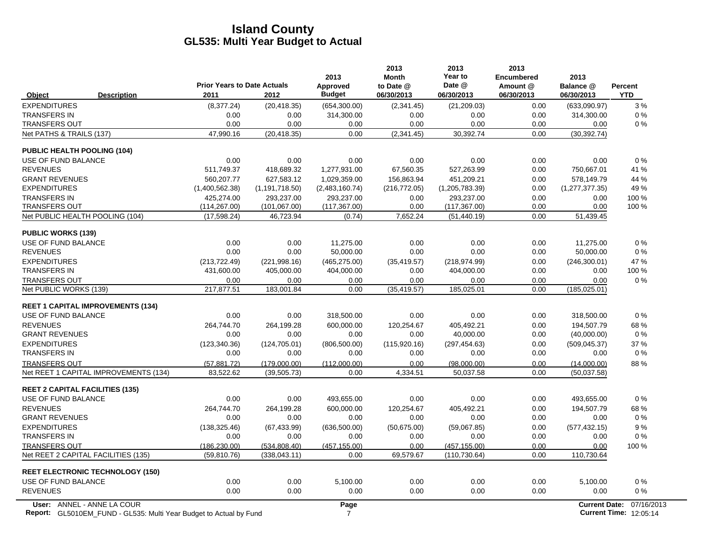|                                                               | <b>Prior Years to Date Actuals</b> |                                | 2013<br>Approved      | 2013<br><b>Month</b><br>to Date @ | 2013<br>Year to<br>Date @      | 2013<br><b>Encumbered</b><br>Amount @ | 2013<br>Balance @     | Percent    |
|---------------------------------------------------------------|------------------------------------|--------------------------------|-----------------------|-----------------------------------|--------------------------------|---------------------------------------|-----------------------|------------|
| <b>Description</b><br>Object                                  | 2011                               | 2012                           | <b>Budget</b>         | 06/30/2013                        | 06/30/2013                     | 06/30/2013                            | 06/30/2013            | <b>YTD</b> |
| <b>EXPENDITURES</b>                                           | (8,377.24)                         | (20, 418.35)                   | (654, 300.00)         | (2,341.45)                        | (21, 209.03)                   | 0.00                                  | (633,090.97)          | 3%         |
| <b>TRANSFERS IN</b>                                           | 0.00                               | 0.00                           | 314,300.00            | 0.00                              | 0.00                           | 0.00                                  | 314,300.00            | 0%         |
| <b>TRANSFERS OUT</b>                                          | 0.00                               | 0.00                           | 0.00                  | 0.00                              | 0.00                           | 0.00                                  | 0.00                  | 0%         |
| Net PATHS & TRAILS (137)                                      | 47,990.16                          | (20, 418.35)                   | 0.00                  | (2,341.45)                        | 30,392.74                      | 0.00                                  | (30, 392.74)          |            |
| <b>PUBLIC HEALTH POOLING (104)</b>                            |                                    |                                |                       |                                   |                                |                                       |                       |            |
| USE OF FUND BALANCE                                           | 0.00                               | 0.00                           | 0.00                  | 0.00                              | 0.00                           | 0.00                                  | 0.00                  | 0%         |
| <b>REVENUES</b>                                               | 511.749.37                         | 418.689.32                     | 1.277.931.00          | 67.560.35                         | 527.263.99                     | 0.00                                  | 750.667.01            | 41 %       |
| <b>GRANT REVENUES</b>                                         | 560.207.77                         | 627.583.12                     | 1.029.359.00          | 156.863.94                        | 451,209.21                     | 0.00                                  | 578.149.79            | 44 %       |
| <b>EXPENDITURES</b>                                           | (1,400,562.38)                     | (1, 191, 718.50)               | (2,483,160.74)        | (216, 772.05)                     | (1,205,783.39)                 | 0.00                                  | (1, 277, 377.35)      | 49 %       |
| <b>TRANSFERS IN</b>                                           | 425,274.00                         | 293,237.00                     | 293,237.00            | 0.00                              | 293,237.00                     | 0.00                                  | 0.00                  | 100 %      |
| <b>TRANSFERS OUT</b>                                          | (114, 267.00)                      | (101, 067.00)                  | (117, 367.00)         | 0.00                              | (117, 367.00)                  | 0.00                                  | 0.00                  | 100 %      |
| Net PUBLIC HEALTH POOLING (104)                               | (17,598.24)                        | 46,723.94                      | (0.74)                | 7,652.24                          | (51, 440.19)                   | 0.00                                  | 51,439.45             |            |
| <b>PUBLIC WORKS (139)</b>                                     |                                    |                                |                       |                                   |                                |                                       |                       |            |
| USE OF FUND BALANCE                                           | 0.00                               | 0.00                           | 11,275.00             | 0.00                              | 0.00                           | 0.00                                  | 11.275.00             | 0%         |
| <b>REVENUES</b>                                               | 0.00                               | 0.00                           | 50.000.00             | 0.00                              | 0.00                           | 0.00                                  | 50,000.00             | 0%         |
| <b>EXPENDITURES</b>                                           | (213, 722.49)                      | (221,998.16)                   | (465, 275.00)         | (35, 419.57)                      | (218, 974.99)                  | 0.00                                  | (246, 300.01)         | 47 %       |
| <b>TRANSFERS IN</b>                                           | 431,600.00                         | 405,000.00                     | 404,000.00            | 0.00                              | 404,000.00                     | 0.00                                  | 0.00                  | 100 %      |
| <b>TRANSFERS OUT</b><br>Net PUBLIC WORKS (139)                | 0.00<br>217,877.51                 | 0.00<br>183,001.84             | 0.00<br>0.00          | 0.00<br>(35, 419.57)              | 0.00<br>185,025.01             | 0.00<br>0.00                          | 0.00<br>(185, 025.01) | 0%         |
|                                                               |                                    |                                |                       |                                   |                                |                                       |                       |            |
| <b>REET 1 CAPITAL IMPROVEMENTS (134)</b>                      |                                    |                                |                       |                                   |                                |                                       |                       |            |
| USE OF FUND BALANCE                                           | 0.00                               | 0.00                           | 318,500.00            | 0.00                              | 0.00                           | 0.00                                  | 318,500.00            | 0%         |
| <b>REVENUES</b>                                               | 264,744.70                         | 264,199.28                     | 600,000.00            | 120,254.67                        | 405,492.21                     | 0.00                                  | 194,507.79            | 68 %       |
| <b>GRANT REVENUES</b>                                         | 0.00                               | 0.00                           | 0.00                  | 0.00                              | 40,000.00                      | 0.00                                  | (40,000.00)           | $0\%$      |
| <b>EXPENDITURES</b><br><b>TRANSFERS IN</b>                    | (123, 340.36)<br>0.00              | (124, 705.01)<br>0.00          | (806, 500.00)<br>0.00 | (115,920.16)<br>0.00              | (297, 454.63)<br>0.00          | 0.00<br>0.00                          | (509, 045.37)<br>0.00 | 37 %<br>0% |
|                                                               |                                    |                                |                       |                                   |                                |                                       |                       |            |
| <b>TRANSFERS OUT</b><br>Net REET 1 CAPITAL IMPROVEMENTS (134) | (57, 881.72)<br>83,522.62          | (179.000.00)                   | (112.000.00)<br>0.00  | 0.00<br>4,334.51                  | (98.000.00)<br>50,037.58       | 0.00<br>0.00                          | (14,000.00)           | 88%        |
|                                                               |                                    | (39, 505.73)                   |                       |                                   |                                |                                       | (50,037.58)           |            |
| <b>REET 2 CAPITAL FACILITIES (135)</b>                        |                                    |                                |                       |                                   |                                |                                       |                       |            |
| USE OF FUND BALANCE                                           | 0.00                               | 0.00                           | 493,655.00            | 0.00                              | 0.00                           | 0.00                                  | 493,655.00            | 0%         |
| <b>REVENUES</b>                                               | 264,744.70                         | 264,199.28                     | 600,000.00            | 120.254.67                        | 405,492.21                     | 0.00                                  | 194,507.79            | 68%        |
| <b>GRANT REVENUES</b>                                         | 0.00                               | 0.00                           | 0.00                  | 0.00                              | 0.00                           | 0.00                                  | 0.00                  | 0%         |
| <b>EXPENDITURES</b><br><b>TRANSFERS IN</b>                    | (138, 325.46)<br>0.00              | (67, 433.99)<br>0.00           | (636, 500.00)<br>0.00 | (50,675.00)                       | (59,067.85)<br>0.00            | 0.00                                  | (577, 432.15)<br>0.00 | 9%<br>0%   |
| <b>TRANSFERS OUT</b>                                          |                                    |                                |                       | 0.00<br>0.00                      |                                | 0.00<br>0.00                          | 0.00                  | 100 %      |
| Net REET 2 CAPITAL FACILITIES (135)                           | (186, 230.00)<br>(59, 810.76)      | (534, 808.40)<br>(338, 043.11) | (457, 155.00)<br>0.00 | 69,579.67                         | (457, 155.00)<br>(110, 730.64) | 0.00                                  | 110,730.64            |            |
|                                                               |                                    |                                |                       |                                   |                                |                                       |                       |            |
| <b>REET ELECTRONIC TECHNOLOGY (150)</b>                       |                                    |                                |                       |                                   |                                |                                       |                       |            |
| USE OF FUND BALANCE                                           | 0.00                               | 0.00                           | 5,100.00              | 0.00                              | 0.00                           | 0.00                                  | 5,100.00              | 0%         |
| <b>REVENUES</b>                                               | 0.00                               | 0.00                           | 0.00                  | 0.00                              | 0.00                           | 0.00                                  | 0.00                  | 0%         |
| User: ANNEL - ANNE LA COUR                                    |                                    |                                | Page                  |                                   |                                |                                       | <b>Current Date:</b>  | 07/16/2013 |

**Report:** 7 **Current Time:** GL5010EM\_FUND - GL535: Multi Year Budget to Actual by Fund 12:05:14 (2:05):14 Trues: 12:05:14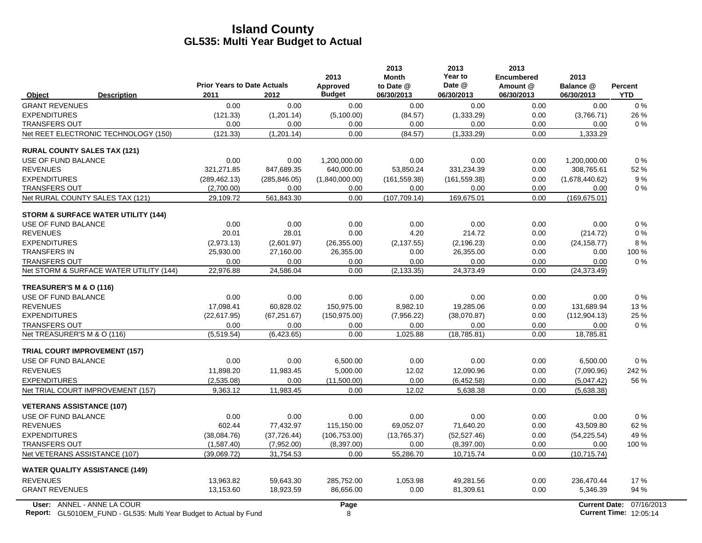|                                                                                                         | <b>Prior Years to Date Actuals</b> |               | 2013<br>Approved | 2013<br><b>Month</b><br>to Date @ | 2013<br>Year to<br>Date @ | 2013<br><b>Encumbered</b><br>Amount @ | 2013<br>Balance @    | <b>Percent</b>                              |
|---------------------------------------------------------------------------------------------------------|------------------------------------|---------------|------------------|-----------------------------------|---------------------------|---------------------------------------|----------------------|---------------------------------------------|
| <b>Description</b><br>Object                                                                            | 2011                               | 2012          | <b>Budget</b>    | 06/30/2013                        | 06/30/2013                | 06/30/2013                            | 06/30/2013           | <b>YTD</b>                                  |
| <b>GRANT REVENUES</b>                                                                                   | 0.00                               | 0.00          | 0.00             | 0.00                              | 0.00                      | 0.00                                  | 0.00                 | $0\%$                                       |
| <b>EXPENDITURES</b>                                                                                     | (121.33)                           | (1,201.14)    | (5,100.00)       | (84.57)                           | (1,333.29)                | 0.00                                  | (3,766.71)           | 26 %                                        |
| <b>TRANSFERS OUT</b>                                                                                    | 0.00                               | 0.00          | 0.00             | 0.00                              | 0.00                      | 0.00                                  | 0.00                 | $0\%$                                       |
| Net REET ELECTRONIC TECHNOLOGY (150)                                                                    | (121.33)                           | (1, 201.14)   | 0.00             | (84.57)                           | (1, 333.29)               | 0.00                                  | 1,333.29             |                                             |
| <b>RURAL COUNTY SALES TAX (121)</b>                                                                     |                                    |               |                  |                                   |                           |                                       |                      |                                             |
| USE OF FUND BALANCE                                                                                     | 0.00                               | 0.00          | 1,200,000.00     | 0.00                              | 0.00                      | 0.00                                  | 1,200,000.00         | 0%                                          |
| <b>REVENUES</b>                                                                                         | 321,271.85                         | 847,689.35    | 640,000.00       | 53,850.24                         | 331,234.39                | 0.00                                  | 308,765.61           | 52 %                                        |
| <b>EXPENDITURES</b>                                                                                     | (289, 462.13)                      | (285, 846.05) | (1,840,000.00)   | (161, 559.38)                     | (161, 559.38)             | 0.00                                  | (1,678,440.62)       | 9%                                          |
| <b>TRANSFERS OUT</b>                                                                                    | (2,700.00)                         | 0.00          | 0.00             | 0.00                              | 0.00                      | 0.00                                  | 0.00                 | $0\%$                                       |
| Net RURAL COUNTY SALES TAX (121)                                                                        | 29,109.72                          | 561,843.30    | 0.00             | (107, 709.14)                     | 169,675.01                | 0.00                                  | (169, 675.01)        |                                             |
| <b>STORM &amp; SURFACE WATER UTILITY (144)</b>                                                          |                                    |               |                  |                                   |                           |                                       |                      |                                             |
| USE OF FUND BALANCE                                                                                     | 0.00                               | 0.00          | 0.00             | 0.00                              | 0.00                      | 0.00                                  | 0.00                 | $0\%$                                       |
| <b>REVENUES</b>                                                                                         | 20.01                              | 28.01         | 0.00             | 4.20                              | 214.72                    | 0.00                                  | (214.72)             | $0\%$                                       |
| <b>EXPENDITURES</b>                                                                                     | (2,973.13)                         | (2,601.97)    | (26, 355.00)     | (2, 137.55)                       | (2, 196.23)               | 0.00                                  | (24, 158.77)         | 8%                                          |
| <b>TRANSFERS IN</b>                                                                                     | 25,930.00                          | 27,160.00     | 26,355.00        | 0.00                              | 26,355.00                 | 0.00                                  | 0.00                 | 100 %                                       |
| <b>TRANSFERS OUT</b>                                                                                    | 0.00                               | 0.00          | 0.00             | 0.00                              | 0.00                      | 0.00                                  | 0.00                 | 0%                                          |
| Net STORM & SURFACE WATER UTILITY (144)                                                                 | 22,976.88                          | 24,586.04     | 0.00             | (2, 133.35)                       | 24,373.49                 | 0.00                                  | (24, 373.49)         |                                             |
| TREASURER'S M & O (116)                                                                                 |                                    |               |                  |                                   |                           |                                       |                      |                                             |
| USE OF FUND BALANCE                                                                                     | 0.00                               | 0.00          | 0.00             | 0.00                              | 0.00                      | 0.00                                  | 0.00                 | $0\%$                                       |
| <b>REVENUES</b>                                                                                         | 17.098.41                          | 60.828.02     | 150.975.00       | 8.982.10                          | 19.285.06                 | 0.00                                  | 131.689.94           | 13%                                         |
| <b>EXPENDITURES</b>                                                                                     | (22.617.95)                        | (67, 251.67)  | (150, 975.00)    | (7,956.22)                        | (38,070.87)               | 0.00                                  | (112, 904.13)        | 25 %                                        |
| <b>TRANSFERS OUT</b>                                                                                    | 0.00                               | 0.00          | 0.00             | 0.00                              | 0.00                      | 0.00                                  | 0.00                 | $0\%$                                       |
| Net TREASURER'S M & O (116)                                                                             | (5,519.54)                         | (6,423.65)    | 0.00             | 1,025.88                          | (18, 785.81)              | 0.00                                  | 18,785.81            |                                             |
| <b>TRIAL COURT IMPROVEMENT (157)</b>                                                                    |                                    |               |                  |                                   |                           |                                       |                      |                                             |
| USE OF FUND BALANCE                                                                                     | 0.00                               | 0.00          | 6,500.00         | 0.00                              | 0.00                      | 0.00                                  | 6,500.00             | 0%                                          |
| <b>REVENUES</b>                                                                                         | 11,898.20                          | 11,983.45     | 5.000.00         | 12.02                             | 12.090.96                 | 0.00                                  | (7,090.96)           | 242 %                                       |
| <b>EXPENDITURES</b>                                                                                     | (2,535.08)                         | 0.00          | (11,500.00)      | 0.00                              | (6,452.58)                | 0.00                                  | (5,047.42)           | 56 %                                        |
| Net TRIAL COURT IMPROVEMENT (157)                                                                       | 9,363.12                           | 11,983.45     | 0.00             | 12.02                             | 5,638.38                  | 0.00                                  | (5,638.38)           |                                             |
| <b>VETERANS ASSISTANCE (107)</b>                                                                        |                                    |               |                  |                                   |                           |                                       |                      |                                             |
| USE OF FUND BALANCE                                                                                     | 0.00                               | 0.00          | 0.00             | 0.00                              | 0.00                      | 0.00                                  | 0.00                 | 0%                                          |
| <b>REVENUES</b>                                                                                         | 602.44                             | 77,432.97     | 115,150.00       | 69,052.07                         | 71,640.20                 | 0.00                                  | 43,509.80            | 62 %                                        |
| <b>EXPENDITURES</b>                                                                                     | (38,084.76)                        | (37, 726.44)  | (106, 753.00)    | (13,765.37)                       | (52, 527.46)              | 0.00                                  | (54, 225.54)         | 49 %                                        |
| <b>TRANSFERS OUT</b>                                                                                    | (1,587.40)                         | (7,952.00)    | (8,397.00)       | 0.00                              | (8,397.00)                | 0.00                                  | 0.00                 | 100 %                                       |
| Net VETERANS ASSISTANCE (107)                                                                           | (39,069.72)                        | 31,754.53     | 0.00             | 55,286.70                         | 10,715.74                 | 0.00                                  | (10,715.74)          |                                             |
| <b>WATER QUALITY ASSISTANCE (149)</b>                                                                   |                                    |               |                  |                                   |                           |                                       |                      |                                             |
| <b>REVENUES</b>                                                                                         | 13,963.82                          | 59,643.30     | 285,752.00       | 1,053.98                          | 49,281.56                 | 0.00                                  | 236,470.44           | 17%                                         |
| <b>GRANT REVENUES</b>                                                                                   | 13,153.60                          | 18,923.59     | 86,656.00        | 0.00                              | 81,309.61                 | 0.00                                  | 5,346.39             | 94 %                                        |
| User: ANNEL - ANNE LA COUR<br><b>Report:</b> GL5010EM FUND - GL535: Multi Year Budget to Actual by Fund |                                    |               | Page<br>8        |                                   |                           |                                       | <b>Current Date:</b> | 07/16/2013<br><b>Current Time: 12:05:14</b> |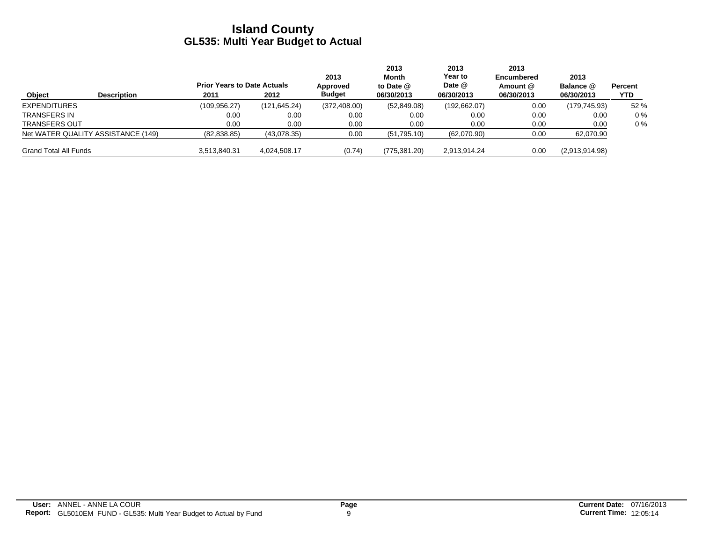|                              |                                    | <b>Prior Years to Date Actuals</b> |              | 2013<br>Approved | 2013<br>Month<br>to Date $@$ | 2013<br><b>Year to</b><br>Date @ | 2013<br><b>Encumbered</b><br>Amount @ | 2013<br>Balance @ | Percent |
|------------------------------|------------------------------------|------------------------------------|--------------|------------------|------------------------------|----------------------------------|---------------------------------------|-------------------|---------|
| Object                       | <b>Description</b>                 | 2011                               | 2012         | <b>Budget</b>    | 06/30/2013                   | 06/30/2013                       | 06/30/2013                            | 06/30/2013        | YTD     |
| <b>EXPENDITURES</b>          |                                    | (109.956.27)                       | (121.645.24) | (372, 408.00)    | (52,849.08)                  | (192, 662.07)                    | 0.00                                  | (179, 745.93)     | 52 %    |
| TRANSFERS IN                 |                                    | 0.00                               | 0.00         | 0.00             | 0.00                         | 0.00                             | 0.00                                  | 0.00              | $0\%$   |
| <b>TRANSFERS OUT</b>         |                                    | 0.00                               | 0.00         | 0.00             | 0.00                         | 0.00                             | 0.00                                  | 0.00              | $0\%$   |
|                              | Net WATER QUALITY ASSISTANCE (149) | (82,838.85)                        | (43,078.35)  | 0.00             | (51,795.10)                  | (62,070.90)                      | 0.00                                  | 62,070.90         |         |
| <b>Grand Total All Funds</b> |                                    | 3,513,840.31                       | 4.024.508.17 | (0.74)           | (775, 381.20)                | 2,913,914.24                     | 0.00                                  | (2,913,914.98)    |         |